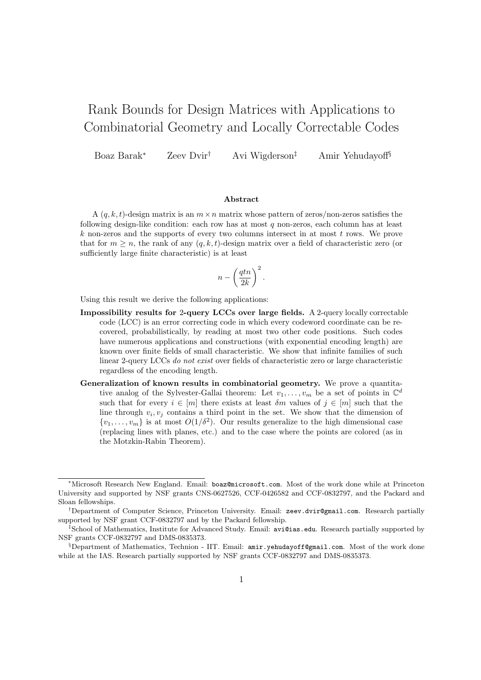# Rank Bounds for Design Matrices with Applications to Combinatorial Geometry and Locally Correctable Codes

Boaz Barak*<sup>∗</sup>* Zeev Dvir*†* Avi Wigderson*‡* Amir Yehudayoff*§*

#### **Abstract**

A  $(q, k, t)$ -design matrix is an  $m \times n$  matrix whose pattern of zeros/non-zeros satisfies the following design-like condition: each row has at most *q* non-zeros, each column has at least *k* non-zeros and the supports of every two columns intersect in at most *t* rows. We prove that for  $m \ge n$ , the rank of any  $(q, k, t)$ -design matrix over a field of characteristic zero (or sufficiently large finite characteristic) is at least

$$
n - \left(\frac{qtn}{2k}\right)^2.
$$

Using this result we derive the following applications:

- **Impossibility results for** 2**-query LCCs over large fields.** A 2-query locally correctable code (LCC) is an error correcting code in which every codeword coordinate can be recovered, probabilistically, by reading at most two other code positions. Such codes have numerous applications and constructions (with exponential encoding length) are known over finite fields of small characteristic. We show that infinite families of such linear 2-query LCCs *do not exist* over fields of characteristic zero or large characteristic regardless of the encoding length.
- **Generalization of known results in combinatorial geometry.** We prove a quantitative analog of the Sylvester-Gallai theorem: Let  $v_1, \ldots, v_m$  be a set of points in  $\mathbb{C}^d$ such that for every  $i \in [m]$  there exists at least  $\delta m$  values of  $j \in [m]$  such that the line through  $v_i, v_j$  contains a third point in the set. We show that the dimension of  $\{v_1, \ldots, v_m\}$  is at most  $O(1/\delta^2)$ . Our results generalize to the high dimensional case (replacing lines with planes, etc.) and to the case where the points are colored (as in the Motzkin-Rabin Theorem).

*<sup>∗</sup>*Microsoft Research New England. Email: boaz@microsoft.com. Most of the work done while at Princeton University and supported by NSF grants CNS-0627526, CCF-0426582 and CCF-0832797, and the Packard and Sloan fellowships.

*<sup>†</sup>*Department of Computer Science, Princeton University. Email: zeev.dvir@gmail.com. Research partially supported by NSF grant CCF-0832797 and by the Packard fellowship.

*<sup>‡</sup>*School of Mathematics, Institute for Advanced Study. Email: avi@ias.edu. Research partially supported by NSF grants CCF-0832797 and DMS-0835373.

*<sup>§</sup>*Department of Mathematics, Technion - IIT. Email: amir.yehudayoff@gmail.com. Most of the work done while at the IAS. Research partially supported by NSF grants CCF-0832797 and DMS-0835373.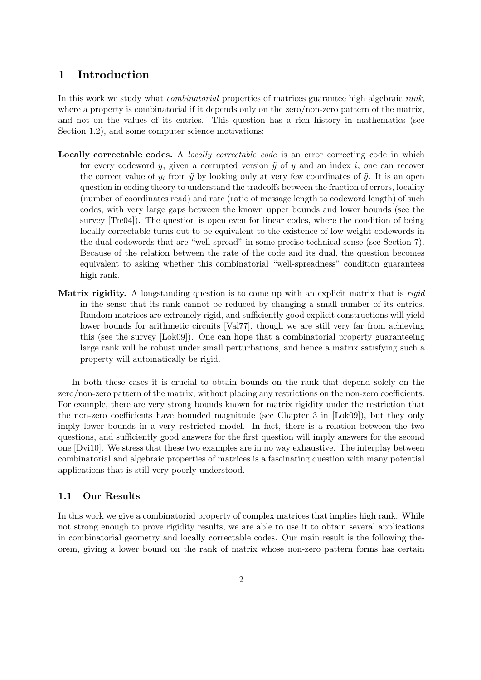# **1 Introduction**

In this work we study what *combinatorial* properties of matrices guarantee high algebraic *rank*, where a property is combinatorial if it depends only on the zero/non-zero pattern of the matrix, and not on the values of its entries. This question has a rich history in mathematics (see Section 1.2), and some computer science motivations:

- **Locally correctable codes.** A *locally correctable code* is an error correcting code in which for every codeword *y*, given a corrupted version  $\tilde{y}$  of *y* and an index *i*, one can recover the correct value of  $y_i$  from  $\tilde{y}$  by looking only at very few coordinates of  $\tilde{y}$ . It is an open question in coding theory to understand the tradeoffs between the fraction of errors, locality (number of coordinates read) and rate (ratio of message length to codeword length) of such codes, with very large gaps between the known upper bounds and lower bounds (see the survey [Tre04]). The question is open even for linear codes, where the condition of being locally correctable turns out to be equivalent to the existence of low weight codewords in the dual codewords that are "well-spread" in some precise technical sense (see Section 7). Because of the relation between the rate of the code and its dual, the question becomes equivalent to asking whether this combinatorial "well-spreadness" condition guarantees high rank.
- **Matrix rigidity.** A longstanding question is to come up with an explicit matrix that is *rigid* in the sense that its rank cannot be reduced by changing a small number of its entries. Random matrices are extremely rigid, and sufficiently good explicit constructions will yield lower bounds for arithmetic circuits [Val77], though we are still very far from achieving this (see the survey  $[Lok09]$ ). One can hope that a combinatorial property guaranteeing large rank will be robust under small perturbations, and hence a matrix satisfying such a property will automatically be rigid.

In both these cases it is crucial to obtain bounds on the rank that depend solely on the zero/non-zero pattern of the matrix, without placing any restrictions on the non-zero coefficients. For example, there are very strong bounds known for matrix rigidity under the restriction that the non-zero coefficients have bounded magnitude (see Chapter 3 in [Lok09]), but they only imply lower bounds in a very restricted model. In fact, there is a relation between the two questions, and sufficiently good answers for the first question will imply answers for the second one [Dvi10]. We stress that these two examples are in no way exhaustive. The interplay between combinatorial and algebraic properties of matrices is a fascinating question with many potential applications that is still very poorly understood.

#### **1.1 Our Results**

In this work we give a combinatorial property of complex matrices that implies high rank. While not strong enough to prove rigidity results, we are able to use it to obtain several applications in combinatorial geometry and locally correctable codes. Our main result is the following theorem, giving a lower bound on the rank of matrix whose non-zero pattern forms has certain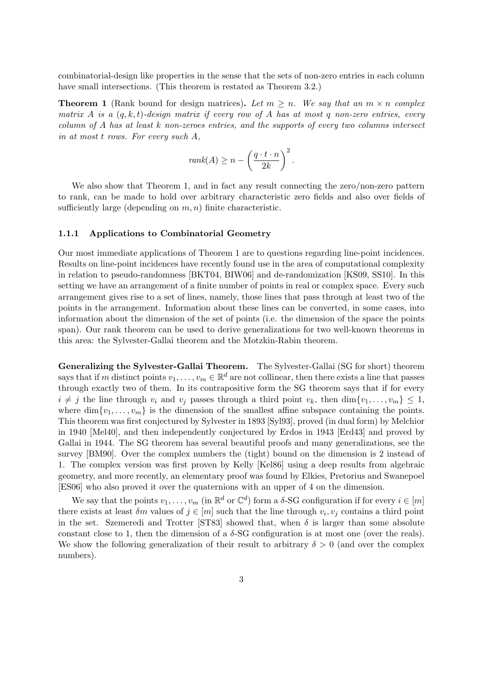combinatorial-design like properties in the sense that the sets of non-zero entries in each column have small intersections. (This theorem is restated as Theorem 3.2.)

**Theorem 1** (Rank bound for design matrices). Let  $m \geq n$ . We say that an  $m \times n$  complex *matrix A is a* (*q, k, t*)*-design matrix if every row of A has at most q non-zero entries, every column of A has at least k non-zeroes entries, and the supports of every two columns intersect in at most t rows. For every such A,*

$$
rank(A) \ge n - \left(\frac{q \cdot t \cdot n}{2k}\right)^2.
$$

We also show that Theorem 1, and in fact any result connecting the zero/non-zero pattern to rank, can be made to hold over arbitrary characteristic zero fields and also over fields of sufficiently large (depending on *m, n*) finite characteristic.

#### **1.1.1 Applications to Combinatorial Geometry**

Our most immediate applications of Theorem 1 are to questions regarding line-point incidences. Results on line-point incidences have recently found use in the area of computational complexity in relation to pseudo-randomness [BKT04, BIW06] and de-randomization [KS09, SS10]. In this setting we have an arrangement of a finite number of points in real or complex space. Every such arrangement gives rise to a set of lines, namely, those lines that pass through at least two of the points in the arrangement. Information about these lines can be converted, in some cases, into information about the dimension of the set of points (i.e. the dimension of the space the points span). Our rank theorem can be used to derive generalizations for two well-known theorems in this area: the Sylvester-Gallai theorem and the Motzkin-Rabin theorem.

**Generalizing the Sylvester-Gallai Theorem.** The Sylvester-Gallai (SG for short) theorem says that if *m* distinct points  $v_1, \ldots, v_m \in \mathbb{R}^d$  are not collinear, then there exists a line that passes through exactly two of them. In its contrapositive form the SG theorem says that if for every  $i \neq j$  the line through  $v_i$  and  $v_j$  passes through a third point  $v_k$ , then dim $\{v_1, \ldots, v_m\} \leq 1$ , where  $\dim\{v_1,\ldots,v_m\}$  is the dimension of the smallest affine subspace containing the points. This theorem was first conjectured by Sylvester in 1893 [Syl93], proved (in dual form) by Melchior in 1940 [Mel40], and then independently conjectured by Erdos in 1943 [Erd43] and proved by Gallai in 1944. The SG theorem has several beautiful proofs and many generalizations, see the survey [BM90]. Over the complex numbers the (tight) bound on the dimension is 2 instead of 1. The complex version was first proven by Kelly [Kel86] using a deep results from algebraic geometry, and more recently, an elementary proof was found by Elkies, Pretorius and Swanepoel [ES06] who also proved it over the quaternions with an upper of 4 on the dimension.

We say that the points  $v_1, \ldots, v_m$  (in  $\mathbb{R}^d$  or  $\mathbb{C}^d$ ) form a *δ*-SG configuration if for every  $i \in [m]$ there exists at least  $\delta m$  values of  $j \in [m]$  such that the line through  $v_i, v_j$  contains a third point in the set. Szemeredi and Trotter [ST83] showed that, when  $\delta$  is larger than some absolute constant close to 1, then the dimension of a *δ*-SG configuration is at most one (over the reals). We show the following generalization of their result to arbitrary  $\delta > 0$  (and over the complex numbers).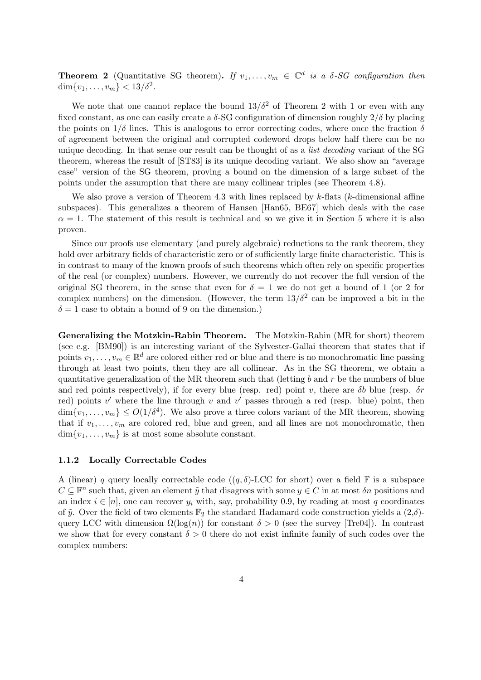**Theorem 2** (Quantitative SG theorem). If  $v_1, \ldots, v_m \in \mathbb{C}^d$  is a  $\delta$ -SG configuration then  $\dim\{v_1, \ldots, v_m\} < 13/\delta^2$ .

We note that one cannot replace the bound  $13/\delta^2$  of Theorem 2 with 1 or even with any fixed constant, as one can easily create a *δ*-SG configuration of dimension roughly 2*/δ* by placing the points on  $1/\delta$  lines. This is analogous to error correcting codes, where once the fraction  $\delta$ of agreement between the original and corrupted codeword drops below half there can be no unique decoding. In that sense our result can be thought of as a *list decoding* variant of the SG theorem, whereas the result of [ST83] is its unique decoding variant. We also show an "average case" version of the SG theorem, proving a bound on the dimension of a large subset of the points under the assumption that there are many collinear triples (see Theorem 4.8).

We also prove a version of Theorem 4.3 with lines replaced by *k*-flats (*k*-dimensional affine subspaces). This generalizes a theorem of Hansen [Han65, BE67] which deals with the case  $\alpha = 1$ . The statement of this result is technical and so we give it in Section 5 where it is also proven.

Since our proofs use elementary (and purely algebraic) reductions to the rank theorem, they hold over arbitrary fields of characteristic zero or of sufficiently large finite characteristic. This is in contrast to many of the known proofs of such theorems which often rely on specific properties of the real (or complex) numbers. However, we currently do not recover the full version of the original SG theorem, in the sense that even for  $\delta = 1$  we do not get a bound of 1 (or 2 for complex numbers) on the dimension. (However, the term  $13/\delta^2$  can be improved a bit in the  $\delta = 1$  case to obtain a bound of 9 on the dimension.)

**Generalizing the Motzkin-Rabin Theorem.** The Motzkin-Rabin (MR for short) theorem (see e.g. [BM90]) is an interesting variant of the Sylvester-Gallai theorem that states that if points  $v_1, \ldots, v_m \in \mathbb{R}^d$  are colored either red or blue and there is no monochromatic line passing through at least two points, then they are all collinear. As in the SG theorem, we obtain a quantitative generalization of the MR theorem such that (letting *b* and *r* be the numbers of blue and red points respectively), if for every blue (resp. red) point *v*, there are *δb* blue (resp. *δr* red) points *v'* where the line through *v* and *v'* passes through a red (resp. blue) point, then  $\dim\{v_1,\ldots,v_m\} \leq O(1/\delta^4)$ . We also prove a three colors variant of the MR theorem, showing that if  $v_1, \ldots, v_m$  are colored red, blue and green, and all lines are not monochromatic, then  $\dim\{v_1,\ldots,v_m\}$  is at most some absolute constant.

#### **1.1.2 Locally Correctable Codes**

A (linear) *q* query locally correctable code  $((q, \delta)$ -LCC for short) over a field  $\mathbb F$  is a subspace  $C \subseteq \mathbb{F}^n$  such that, given an element  $\tilde{y}$  that disagrees with some  $y \in C$  in at most  $\delta n$  positions and an index  $i \in [n]$ , one can recover  $y_i$  with, say, probability 0.9, by reading at most  $q$  coordinates of  $\tilde{y}$ . Over the field of two elements  $\mathbb{F}_2$  the standard Hadamard code construction yields a  $(2,\delta)$ query LCC with dimension  $\Omega(\log(n))$  for constant  $\delta > 0$  (see the survey [Tre04]). In contrast we show that for every constant  $\delta > 0$  there do not exist infinite family of such codes over the complex numbers: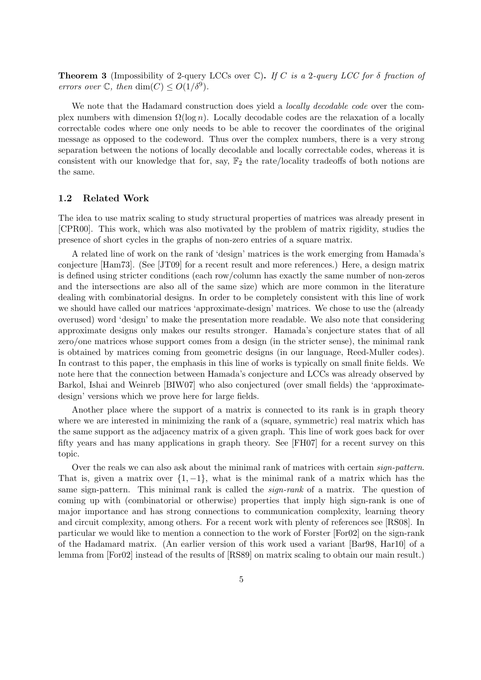**Theorem 3** (Impossibility of 2-query LCCs over C)**.** *If C is a* 2*-query LCC for δ fraction of errors over*  $\mathbb{C}$ *, then* dim( $C$ )  $\leq O(1/\delta^9)$ *.* 

We note that the Hadamard construction does yield a *locally decodable code* over the complex numbers with dimension  $\Omega(\log n)$ . Locally decodable codes are the relaxation of a locally correctable codes where one only needs to be able to recover the coordinates of the original message as opposed to the codeword. Thus over the complex numbers, there is a very strong separation between the notions of locally decodable and locally correctable codes, whereas it is consistent with our knowledge that for, say,  $\mathbb{F}_2$  the rate/locality tradeoffs of both notions are the same.

#### **1.2 Related Work**

The idea to use matrix scaling to study structural properties of matrices was already present in [CPR00]. This work, which was also motivated by the problem of matrix rigidity, studies the presence of short cycles in the graphs of non-zero entries of a square matrix.

A related line of work on the rank of 'design' matrices is the work emerging from Hamada's conjecture [Ham73]. (See [JT09] for a recent result and more references.) Here, a design matrix is defined using stricter conditions (each row/column has exactly the same number of non-zeros and the intersections are also all of the same size) which are more common in the literature dealing with combinatorial designs. In order to be completely consistent with this line of work we should have called our matrices 'approximate-design' matrices. We chose to use the (already overused) word 'design' to make the presentation more readable. We also note that considering approximate designs only makes our results stronger. Hamada's conjecture states that of all zero/one matrices whose support comes from a design (in the stricter sense), the minimal rank is obtained by matrices coming from geometric designs (in our language, Reed-Muller codes). In contrast to this paper, the emphasis in this line of works is typically on small finite fields. We note here that the connection between Hamada's conjecture and LCCs was already observed by Barkol, Ishai and Weinreb [BIW07] who also conjectured (over small fields) the 'approximatedesign' versions which we prove here for large fields.

Another place where the support of a matrix is connected to its rank is in graph theory where we are interested in minimizing the rank of a (square, symmetric) real matrix which has the same support as the adjacency matrix of a given graph. This line of work goes back for over fifty years and has many applications in graph theory. See [FH07] for a recent survey on this topic.

Over the reals we can also ask about the minimal rank of matrices with certain *sign-pattern*. That is, given a matrix over  $\{1, -1\}$ , what is the minimal rank of a matrix which has the same sign-pattern. This minimal rank is called the *sign-rank* of a matrix. The question of coming up with (combinatorial or otherwise) properties that imply high sign-rank is one of major importance and has strong connections to communication complexity, learning theory and circuit complexity, among others. For a recent work with plenty of references see [RS08]. In particular we would like to mention a connection to the work of Forster [For02] on the sign-rank of the Hadamard matrix. (An earlier version of this work used a variant [Bar98, Har10] of a lemma from [For02] instead of the results of [RS89] on matrix scaling to obtain our main result.)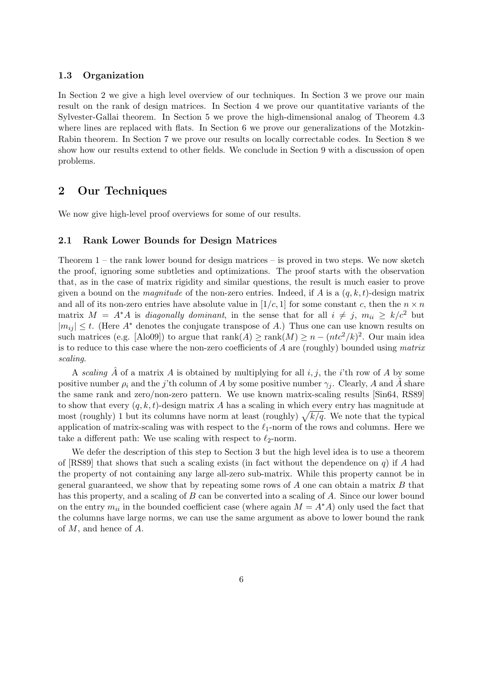#### **1.3 Organization**

In Section 2 we give a high level overview of our techniques. In Section 3 we prove our main result on the rank of design matrices. In Section 4 we prove our quantitative variants of the Sylvester-Gallai theorem. In Section 5 we prove the high-dimensional analog of Theorem 4.3 where lines are replaced with flats. In Section 6 we prove our generalizations of the Motzkin-Rabin theorem. In Section 7 we prove our results on locally correctable codes. In Section 8 we show how our results extend to other fields. We conclude in Section 9 with a discussion of open problems.

# **2 Our Techniques**

We now give high-level proof overviews for some of our results.

#### **2.1 Rank Lower Bounds for Design Matrices**

Theorem  $1$  – the rank lower bound for design matrices – is proved in two steps. We now sketch the proof, ignoring some subtleties and optimizations. The proof starts with the observation that, as in the case of matrix rigidity and similar questions, the result is much easier to prove given a bound on the *magnitude* of the non-zero entries. Indeed, if *A* is a (*q, k, t*)-design matrix and all of its non-zero entries have absolute value in  $[1/c, 1]$  for some constant *c*, then the  $n \times n$ matrix  $M = A^*A$  is *diagonally dominant*, in the sense that for all  $i \neq j$ ,  $m_{ii} \geq k/c^2$  but  $|m_{ij}| \leq t$ . (Here *A*<sup>\*</sup> denotes the conjugate transpose of *A*.) Thus one can use known results on such matrices (e.g. [Alo09]) to argue that  $\text{rank}(A) \ge \text{rank}(M) \ge n - (ntc^2/k)^2$ . Our main idea is to reduce to this case where the non-zero coefficients of *A* are (roughly) bounded using *matrix scaling*.

A scaling A of a matrix A is obtained by multiplying for all  $i, j$ , the  $i$ 'th row of A by some positive number  $\rho_i$  and the *j*'th column of *A* by some positive number  $\gamma_i$ . Clearly, *A* and *A*<sup> $\Lambda$ </sup> share the same rank and zero/non-zero pattern. We use known matrix-scaling results [Sin64, RS89] to show that every (*q, k, t*)-design matrix *A* has a scaling in which every entry has magnitude at most (roughly) 1 but its columns have norm at least (roughly)  $\sqrt{k/q}$ . We note that the typical application of matrix-scaling was with respect to the *ℓ*1-norm of the rows and columns. Here we take a different path: We use scaling with respect to  $\ell_2$ -norm.

We defer the description of this step to Section 3 but the high level idea is to use a theorem of [RS89] that shows that such a scaling exists (in fact without the dependence on *q*) if *A* had the property of not containing any large all-zero sub-matrix. While this property cannot be in general guaranteed, we show that by repeating some rows of *A* one can obtain a matrix *B* that has this property, and a scaling of *B* can be converted into a scaling of *A*. Since our lower bound on the entry  $m_{ii}$  in the bounded coefficient case (where again  $M = A^*A$ ) only used the fact that the columns have large norms, we can use the same argument as above to lower bound the rank of *M*, and hence of *A*.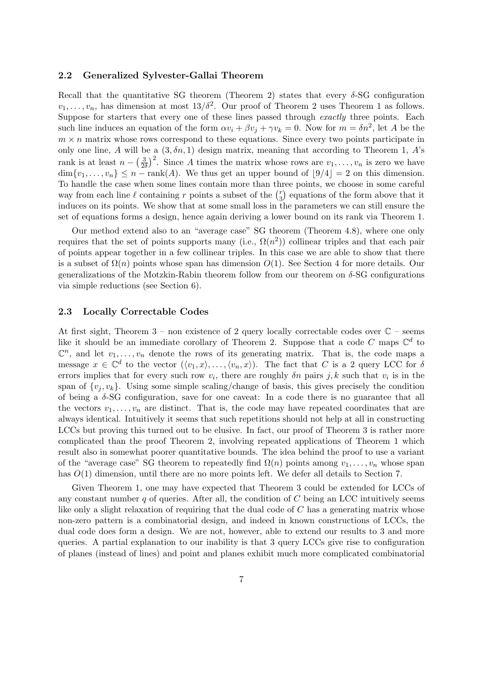#### **2.2 Generalized Sylvester-Gallai Theorem**

Recall that the quantitative SG theorem (Theorem 2) states that every  $\delta$ -SG configuration  $v_1, \ldots, v_n$ , has dimension at most  $13/\delta^2$ . Our proof of Theorem 2 uses Theorem 1 as follows. Suppose for starters that every one of these lines passed through *exactly* three points. Each such line induces an equation of the form  $\alpha v_i + \beta v_j + \gamma v_k = 0$ . Now for  $m = \delta n^2$ , let A be the  $m \times n$  matrix whose rows correspond to these equations. Since every two points participate in only one line, *A* will be a (3*, δn,* 1) design matrix, meaning that according to Theorem 1, *A*'s rank is at least  $n - \left(\frac{3}{2}\right)$  $\left(\frac{3}{2\delta}\right)^2$ . Since *A* times the matrix whose rows are  $v_1, \ldots, v_n$  is zero we have  $\dim\{v_1,\ldots,v_n\} \leq n - \text{rank}(A)$ . We thus get an upper bound of  $|9/4| = 2$  on this dimension. To handle the case when some lines contain more than three points, we choose in some careful way from each line  $\ell$  containing  $r$  points a subset of the  $\binom{r}{3}$  $\binom{r}{3}$  equations of the form above that it induces on its points. We show that at some small loss in the parameters we can still ensure the set of equations forms a design, hence again deriving a lower bound on its rank via Theorem 1.

Our method extend also to an "average case" SG theorem (Theorem 4.8), where one only requires that the set of points supports many (i.e.,  $\Omega(n^2)$ ) collinear triples and that each pair of points appear together in a few collinear triples. In this case we are able to show that there is a subset of  $\Omega(n)$  points whose span has dimension  $O(1)$ . See Section 4 for more details. Our generalizations of the Motzkin-Rabin theorem follow from our theorem on *δ*-SG configurations via simple reductions (see Section 6).

#### **2.3 Locally Correctable Codes**

At first sight, Theorem  $3$  – non existence of 2 query locally correctable codes over  $\mathbb{C}$  – seems like it should be an immediate corollary of Theorem 2. Suppose that a code  $C$  maps  $\mathbb{C}^d$  to  $\mathbb{C}^n$ , and let  $v_1, \ldots, v_n$  denote the rows of its generating matrix. That is, the code maps a message  $x \in \mathbb{C}^d$  to the vector  $(\langle v_1, x \rangle, \ldots, \langle v_n, x \rangle)$ . The fact that *C* is a 2 query LCC for  $\delta$ errors implies that for every such row  $v_i$ , there are roughly  $\delta n$  pairs  $j, k$  such that  $v_i$  is in the span of  $\{v_i, v_k\}$ . Using some simple scaling/change of basis, this gives precisely the condition of being a  $\delta$ -SG configuration, save for one caveat: In a code there is no guarantee that all the vectors  $v_1, \ldots, v_n$  are distinct. That is, the code may have repeated coordinates that are always identical. Intuitively it seems that such repetitions should not help at all in constructing LCCs but proving this turned out to be elusive. In fact, our proof of Theorem 3 is rather more complicated than the proof Theorem 2, involving repeated applications of Theorem 1 which result also in somewhat poorer quantitative bounds. The idea behind the proof to use a variant of the "average case" SG theorem to repeatedly find  $\Omega(n)$  points among  $v_1, \ldots, v_n$  whose span has  $O(1)$  dimension, until there are no more points left. We defer all details to Section 7.

Given Theorem 1, one may have expected that Theorem 3 could be extended for LCCs of any constant number  $q$  of queries. After all, the condition of  $C$  being an LCC intuitively seems like only a slight relaxation of requiring that the dual code of *C* has a generating matrix whose non-zero pattern is a combinatorial design, and indeed in known constructions of LCCs, the dual code does form a design. We are not, however, able to extend our results to 3 and more queries. A partial explanation to our inability is that 3 query LCCs give rise to configuration of planes (instead of lines) and point and planes exhibit much more complicated combinatorial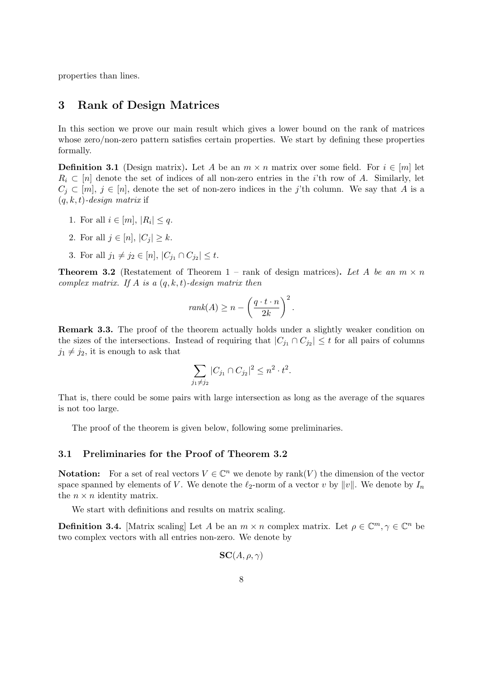properties than lines.

# **3 Rank of Design Matrices**

In this section we prove our main result which gives a lower bound on the rank of matrices whose zero/non-zero pattern satisfies certain properties. We start by defining these properties formally.

**Definition 3.1** (Design matrix). Let *A* be an  $m \times n$  matrix over some field. For  $i \in [m]$  let  $R_i \subset [n]$  denote the set of indices of all non-zero entries in the *i*'th row of *A*. Similarly, let  $C_i \subset [m], j \in [n]$ , denote the set of non-zero indices in the *j*'th column. We say that *A* is a (*q, k, t*)*-design matrix* if

- 1. For all  $i \in [m], |R_i| \leq q$ .
- 2. For all  $j \in [n], |C_j| \geq k$ .
- 3. For all  $j_1 \neq j_2 \in [n]$ ,  $|C_{j_1} \cap C_{j_2}| \leq t$ .

**Theorem 3.2** (Restatement of Theorem 1 – rank of design matrices). Let A be an  $m \times n$ *complex matrix. If A is a* (*q, k, t*)*-design matrix then*

$$
rank(A) \ge n - \left(\frac{q \cdot t \cdot n}{2k}\right)^2.
$$

**Remark 3.3.** The proof of the theorem actually holds under a slightly weaker condition on the sizes of the intersections. Instead of requiring that  $|C_{j_1} \cap C_{j_2}| \leq t$  for all pairs of columns  $j_1 \neq j_2$ , it is enough to ask that

$$
\sum_{j_1 \neq j_2} |C_{j_1} \cap C_{j_2}|^2 \leq n^2 \cdot t^2.
$$

That is, there could be some pairs with large intersection as long as the average of the squares is not too large.

The proof of the theorem is given below, following some preliminaries.

#### **3.1 Preliminaries for the Proof of Theorem 3.2**

**Notation:** For a set of real vectors  $V \in \mathbb{C}^n$  we denote by rank $(V)$  the dimension of the vector space spanned by elements of *V*. We denote the  $\ell_2$ -norm of a vector *v* by  $||v||$ . We denote by  $I_n$ the  $n \times n$  identity matrix.

We start with definitions and results on matrix scaling.

**Definition 3.4.** [Matrix scaling] Let *A* be an  $m \times n$  complex matrix. Let  $\rho \in \mathbb{C}^m$ ,  $\gamma \in \mathbb{C}^n$  be two complex vectors with all entries non-zero. We denote by

$$
\mathbf{SC}(A,\rho,\gamma)
$$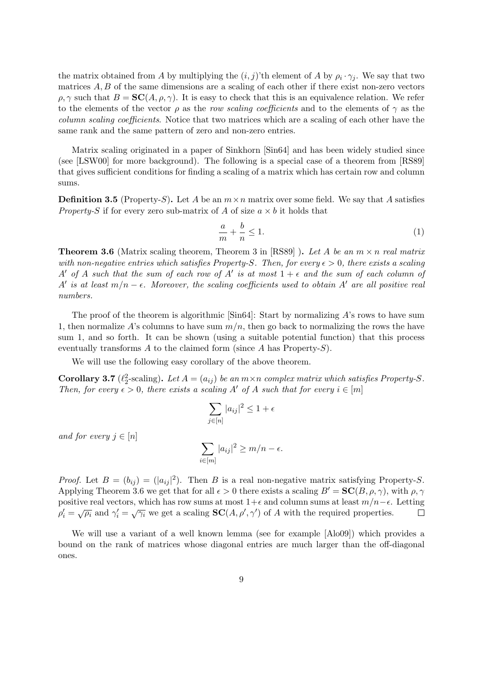the matrix obtained from *A* by multiplying the  $(i, j)$ 'th element of *A* by  $\rho_i \cdot \gamma_j$ . We say that two matrices A, B of the same dimensions are a scaling of each other if there exist non-zero vectors  $\rho, \gamma$  such that  $B = \mathbf{SC}(A, \rho, \gamma)$ . It is easy to check that this is an equivalence relation. We refer to the elements of the vector *ρ* as the *row scaling coefficients* and to the elements of  $\gamma$  as the *column scaling coefficients*. Notice that two matrices which are a scaling of each other have the same rank and the same pattern of zero and non-zero entries.

Matrix scaling originated in a paper of Sinkhorn [Sin64] and has been widely studied since (see [LSW00] for more background). The following is a special case of a theorem from [RS89] that gives sufficient conditions for finding a scaling of a matrix which has certain row and column sums.

**Definition 3.5** (Property-*S*). Let *A* be an  $m \times n$  matrix over some field. We say that *A* satisfies *Property-S* if for every zero sub-matrix of *A* of size  $a \times b$  it holds that

$$
\frac{a}{m} + \frac{b}{n} \le 1.
$$
\n<sup>(1)</sup>

**Theorem 3.6** (Matrix scaling theorem, Theorem 3 in [RS89] ). Let A be an  $m \times n$  real matrix *with non-negative entries which satisfies Property-S. Then, for every*  $\epsilon > 0$ , there exists a scaling  $A'$  *of A* such that the sum of each row of  $A'$  is at most  $1 + \epsilon$  and the sum of each column of *A′ is at least m/n − ϵ. Moreover, the scaling coefficients used to obtain A′ are all positive real numbers.*

The proof of the theorem is algorithmic [Sin64]: Start by normalizing *A*'s rows to have sum 1, then normalize *A*'s columns to have sum *m/n*, then go back to normalizing the rows the have sum 1, and so forth. It can be shown (using a suitable potential function) that this process eventually transforms *A* to the claimed form (since *A* has Property-*S*).

We will use the following easy corollary of the above theorem.

**Corollary 3.7** ( $\ell_2^2$ -scaling). Let  $A = (a_{ij})$  be an  $m \times n$  complex matrix which satisfies Property-S. *Then, for every*  $\epsilon > 0$ *, there exists a scaling A' of A such that for every*  $i \in [m]$ 

$$
\sum_{j \in [n]} |a_{ij}|^2 \le 1 + \epsilon
$$

*and for every*  $j \in [n]$ 

$$
\sum_{i \in [m]} |a_{ij}|^2 \ge m/n - \epsilon.
$$

*Proof.* Let  $B = (b_{ij}) = (|a_{ij}|^2)$ . Then *B* is a real non-negative matrix satisfying Property-*S*. Applying Theorem 3.6 we get that for all  $\epsilon > 0$  there exists a scaling  $B' = \mathbf{SC}(B, \rho, \gamma)$ , with  $\rho, \gamma$ positive real vectors, which has row sums at most  $1+\epsilon$  and column sums at least  $m/n-\epsilon$ . Letting *ρ*<sup>*i*</sup> =  $\sqrt{\rho_i}$  and  $\gamma'_i = \sqrt{\gamma_i}$  we get a scaling **SC**(*A, ρ<sup><i>'*</sup>,  $\gamma'$ ) of *A* with the required properties.  $\Box$ 

We will use a variant of a well known lemma (see for example [Alo09]) which provides a bound on the rank of matrices whose diagonal entries are much larger than the off-diagonal ones.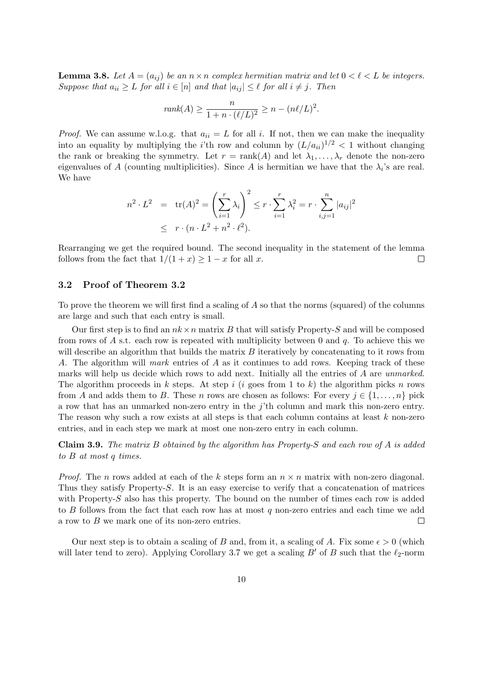**Lemma 3.8.** Let  $A = (a_{ij})$  be an  $n \times n$  complex hermitian matrix and let  $0 < \ell < L$  be integers. *Suppose that*  $a_{ii} \geq L$  *for all*  $i \in [n]$  *and that*  $|a_{ij}| \leq \ell$  *for all*  $i \neq j$ *. Then* 

$$
rank(A) \ge \frac{n}{1 + n \cdot (\ell/L)^2} \ge n - (n\ell/L)^2.
$$

*Proof.* We can assume w.l.o.g. that  $a_{ii} = L$  for all *i*. If not, then we can make the inequality into an equality by multiplying the *i*'th row and column by  $(L/a_{ii})^{1/2} < 1$  without changing the rank or breaking the symmetry. Let  $r = \text{rank}(A)$  and let  $\lambda_1, \ldots, \lambda_r$  denote the non-zero eigenvalues of *A* (counting multiplicities). Since *A* is hermitian we have that the  $\lambda_i$ 's are real. We have

$$
n^{2} \cdot L^{2} = \text{tr}(A)^{2} = \left(\sum_{i=1}^{r} \lambda_{i}\right)^{2} \leq r \cdot \sum_{i=1}^{r} \lambda_{i}^{2} = r \cdot \sum_{i,j=1}^{n} |a_{ij}|^{2}
$$
  
  $\leq r \cdot (n \cdot L^{2} + n^{2} \cdot \ell^{2}).$ 

Rearranging we get the required bound. The second inequality in the statement of the lemma follows from the fact that  $1/(1+x) \geq 1-x$  for all *x*.  $\Box$ 

#### **3.2 Proof of Theorem 3.2**

To prove the theorem we will first find a scaling of *A* so that the norms (squared) of the columns are large and such that each entry is small.

Our first step is to find an *nk×n* matrix *B* that will satisfy Property-*S* and will be composed from rows of *A* s.t. each row is repeated with multiplicity between 0 and *q*. To achieve this we will describe an algorithm that builds the matrix  $B$  iteratively by concatenating to it rows from *A*. The algorithm will *mark* entries of *A* as it continues to add rows. Keeping track of these marks will help us decide which rows to add next. Initially all the entries of *A* are *unmarked*. The algorithm proceeds in  $k$  steps. At step  $i$  ( $i$  goes from 1 to  $k$ ) the algorithm picks  $n$  rows from *A* and adds them to *B*. These *n* rows are chosen as follows: For every  $j \in \{1, \ldots, n\}$  pick a row that has an unmarked non-zero entry in the *j*'th column and mark this non-zero entry. The reason why such a row exists at all steps is that each column contains at least *k* non-zero entries, and in each step we mark at most one non-zero entry in each column.

**Claim 3.9.** *The matrix B obtained by the algorithm has Property-S and each row of A is added to B at most q times.*

*Proof.* The *n* rows added at each of the *k* steps form an *n × n* matrix with non-zero diagonal. Thus they satisfy Property-*S*. It is an easy exercise to verify that a concatenation of matrices with Property-*S* also has this property. The bound on the number of times each row is added to *B* follows from the fact that each row has at most *q* non-zero entries and each time we add a row to *B* we mark one of its non-zero entries. П

Our next step is to obtain a scaling of *B* and, from it, a scaling of *A*. Fix some  $\epsilon > 0$  (which will later tend to zero). Applying Corollary 3.7 we get a scaling  $B'$  of  $B$  such that the  $\ell_2$ -norm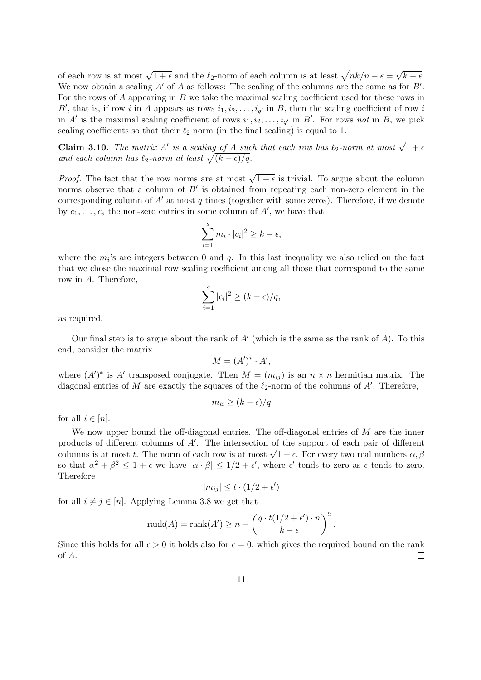of each row is at most  $\sqrt{1+\epsilon}$  and the  $\ell_2$ -norm of each column is at least  $\sqrt{nk/n-\epsilon}$ *√*  $k - \epsilon$ . We now obtain a scaling *A′* of *A* as follows: The scaling of the columns are the same as for *B′* . For the rows of *A* appearing in *B* we take the maximal scaling coefficient used for these rows in *B'*, that is, if row *i* in *A* appears as rows  $i_1, i_2, \ldots, i_{q'}$  in *B*, then the scaling coefficient of row *i* in  $A'$  is the maximal scaling coefficient of rows  $i_1, i_2, \ldots, i_{q'}$  in  $B'$ . For rows *not* in  $B$ , we pick scaling coefficients so that their  $\ell_2$  norm (in the final scaling) is equal to 1.

**Claim 3.10.** *The matrix A' is a scaling of A such that each row has*  $\ell_2$ *-norm at most*  $\sqrt{1+\epsilon}$ *and each column has*  $\ell_2$ *-norm at least*  $\sqrt{(k-\epsilon)/q}$ *.* 

*Proof.* The fact that the row norms are at most  $\sqrt{1+\epsilon}$  is trivial. To argue about the column norms observe that a column of *B′* is obtained from repeating each non-zero element in the corresponding column of *A′* at most *q* times (together with some zeros). Therefore, if we denote by  $c_1, \ldots, c_s$  the non-zero entries in some column of  $A'$ , we have that

$$
\sum_{i=1}^{s} m_i \cdot |c_i|^2 \ge k - \epsilon,
$$

where the  $m_i$ 's are integers between 0 and  $q$ . In this last inequality we also relied on the fact that we chose the maximal row scaling coefficient among all those that correspond to the same row in *A*. Therefore,

$$
\sum_{i=1}^{s} |c_i|^2 \ge (k - \epsilon)/q,
$$

 $\Box$ 

as required.

Our final step is to argue about the rank of *A′* (which is the same as the rank of *A*). To this end, consider the matrix

$$
M = (A')^* \cdot A',
$$

where  $(A')^*$  is  $A'$  transposed conjugate. Then  $M = (m_{ij})$  is an  $n \times n$  hermitian matrix. The diagonal entries of *M* are exactly the squares of the *ℓ*2-norm of the columns of *A′* . Therefore,

$$
m_{ii} \ge (k - \epsilon)/q
$$

for all  $i \in [n]$ .

We now upper bound the off-diagonal entries. The off-diagonal entries of *M* are the inner products of different columns of *A′* . The intersection of the support of each pair of different columns is at most *t*. The norm of each row is at most  $\sqrt{1+\epsilon}$ . For every two real numbers  $\alpha, \beta$ so that  $\alpha^2 + \beta^2 \leq 1 + \epsilon$  we have  $|\alpha \cdot \beta| \leq 1/2 + \epsilon'$ , where  $\epsilon'$  tends to zero as  $\epsilon$  tends to zero. Therefore

$$
|m_{ij}| \le t \cdot (1/2 + \epsilon')
$$

for all  $i \neq j \in [n]$ . Applying Lemma 3.8 we get that

$$
rank(A) = rank(A') \ge n - \left(\frac{q \cdot t(1/2 + \epsilon') \cdot n}{k - \epsilon}\right)^2.
$$

Since this holds for all  $\epsilon > 0$  it holds also for  $\epsilon = 0$ , which gives the required bound on the rank of *A*.  $\Box$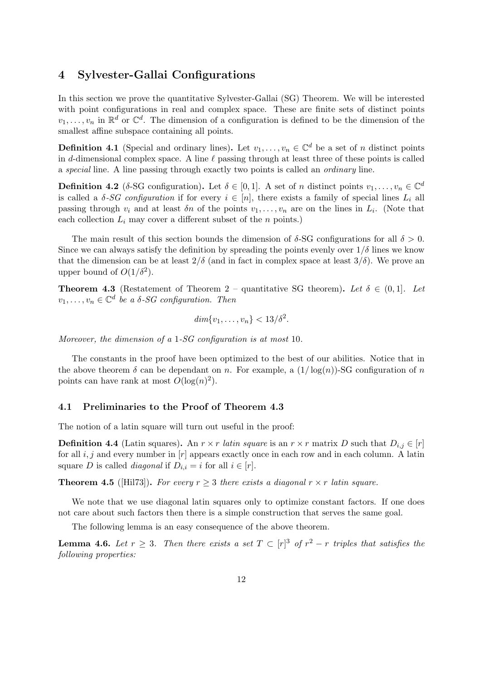# **4 Sylvester-Gallai Configurations**

In this section we prove the quantitative Sylvester-Gallai (SG) Theorem. We will be interested with point configurations in real and complex space. These are finite sets of distinct points  $v_1, \ldots, v_n$  in  $\mathbb{R}^d$  or  $\mathbb{C}^d$ . The dimension of a configuration is defined to be the dimension of the smallest affine subspace containing all points.

**Definition 4.1** (Special and ordinary lines). Let  $v_1, \ldots, v_n \in \mathbb{C}^d$  be a set of *n* distinct points in *d*-dimensional complex space. A line *ℓ* passing through at least three of these points is called a *special* line. A line passing through exactly two points is called an *ordinary* line.

**Definition 4.2** ( $\delta$ -SG configuration). Let  $\delta \in [0,1]$ . A set of *n* distinct points  $v_1, \ldots, v_n \in \mathbb{C}^d$ is called a  $\delta$ *-SG configuration* if for every  $i \in [n]$ , there exists a family of special lines  $L_i$  all passing through  $v_i$  and at least  $\delta n$  of the points  $v_1, \ldots, v_n$  are on the lines in  $L_i$ . (Note that each collection  $L_i$  may cover a different subset of the *n* points.)

The main result of this section bounds the dimension of *δ*-SG configurations for all *δ >* 0. Since we can always satisfy the definition by spreading the points evenly over  $1/\delta$  lines we know that the dimension can be at least  $2/\delta$  (and in fact in complex space at least  $3/\delta$ ). We prove an upper bound of  $O(1/\delta^2)$ .

**Theorem 4.3** (Restatement of Theorem 2 – quantitative SG theorem). Let  $\delta \in (0,1]$ . Let  $v_1, \ldots, v_n \in \mathbb{C}^d$  *be a δ-SG configuration. Then* 

$$
dim\{v_1,\ldots,v_n\} < 13/\delta^2.
$$

*Moreover, the dimension of a* 1*-SG configuration is at most* 10*.*

The constants in the proof have been optimized to the best of our abilities. Notice that in the above theorem  $\delta$  can be dependant on *n*. For example, a  $(1/\log(n))$ -SG configuration of *n* points can have rank at most  $O(\log(n)^2)$ .

#### **4.1 Preliminaries to the Proof of Theorem 4.3**

The notion of a latin square will turn out useful in the proof:

**Definition 4.4** (Latin squares). An  $r \times r$  *latin square* is an  $r \times r$  matrix *D* such that  $D_{i,j} \in [r]$ for all *i, j* and every number in [*r*] appears exactly once in each row and in each column. A latin square *D* is called *diagonal* if  $D_{i,i} = i$  for all  $i \in [r]$ .

**Theorem 4.5** ([Hil73]). For every  $r \geq 3$  there exists a diagonal  $r \times r$  latin square.

We note that we use diagonal latin squares only to optimize constant factors. If one does not care about such factors then there is a simple construction that serves the same goal.

The following lemma is an easy consequence of the above theorem.

**Lemma 4.6.** Let  $r \geq 3$ . Then there exists a set  $T \subset [r]^3$  of  $r^2 - r$  triples that satisfies the *following properties:*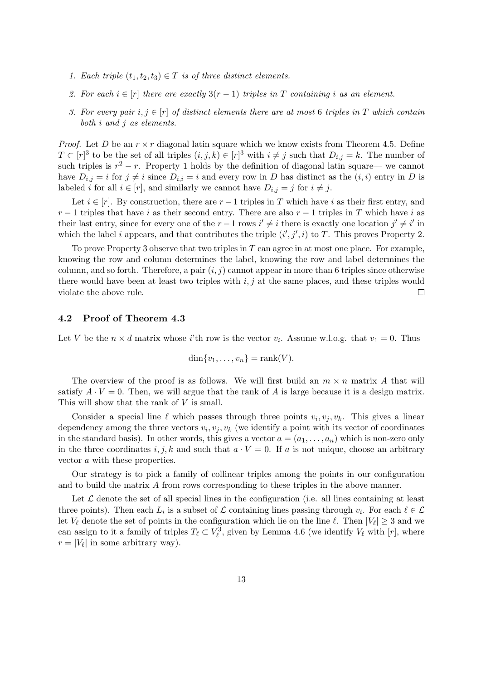- *1. Each triple*  $(t_1, t_2, t_3) \in T$  *is of three distinct elements.*
- *2.* For each  $i \in [r]$  there are exactly  $3(r-1)$  triples in T containing *i* as an element.
- *3.* For every pair  $i, j ∈ [r]$  of distinct elements there are at most 6 triples in  $T$  which contain *both i and j as elements.*

*Proof.* Let *D* be an  $r \times r$  diagonal latin square which we know exists from Theorem 4.5. Define *T* ⊂ [*r*]<sup>3</sup> to be the set of all triples  $(i, j, k) \in [r]$ <sup>3</sup> with  $i \neq j$  such that  $D_{i,j} = k$ . The number of such triples is  $r^2 - r$ . Property 1 holds by the definition of diagonal latin square— we cannot have  $D_{i,j} = i$  for  $j \neq i$  since  $D_{i,i} = i$  and every row in *D* has distinct as the  $(i, i)$  entry in *D* is labeled *i* for all  $i \in [r]$ , and similarly we cannot have  $D_{i,j} = j$  for  $i \neq j$ .

Let  $i \in [r]$ . By construction, there are  $r-1$  triples in *T* which have *i* as their first entry, and  $r-1$  triples that have *i* as their second entry. There are also  $r-1$  triples in *T* which have *i* as their last entry, since for every one of the  $r - 1$  rows  $i' \neq i$  there is exactly one location  $j' \neq i'$  in which the label *i* appears, and that contributes the triple  $(i', j', i)$  to *T*. This proves Property 2.

To prove Property 3 observe that two triples in *T* can agree in at most one place. For example, knowing the row and column determines the label, knowing the row and label determines the column, and so forth. Therefore, a pair  $(i, j)$  cannot appear in more than 6 triples since otherwise there would have been at least two triples with *i, j* at the same places, and these triples would violate the above rule.  $\Box$ 

#### **4.2 Proof of Theorem 4.3**

Let *V* be the  $n \times d$  matrix whose *i*'th row is the vector  $v_i$ . Assume w.l.o.g. that  $v_1 = 0$ . Thus

$$
\dim\{v_1,\ldots,v_n\} = \operatorname{rank}(V).
$$

The overview of the proof is as follows. We will first build an  $m \times n$  matrix A that will satisfy  $A \cdot V = 0$ . Then, we will argue that the rank of A is large because it is a design matrix. This will show that the rank of *V* is small.

Consider a special line  $\ell$  which passes through three points  $v_i, v_j, v_k$ . This gives a linear dependency among the three vectors  $v_i, v_j, v_k$  (we identify a point with its vector of coordinates in the standard basis). In other words, this gives a vector  $a = (a_1, \ldots, a_n)$  which is non-zero only in the three coordinates  $i, j, k$  and such that  $a \cdot V = 0$ . If *a* is not unique, choose an arbitrary vector *a* with these properties.

Our strategy is to pick a family of collinear triples among the points in our configuration and to build the matrix *A* from rows corresponding to these triples in the above manner.

Let  $\mathcal L$  denote the set of all special lines in the configuration (i.e. all lines containing at least three points). Then each  $L_i$  is a subset of  $\mathcal L$  containing lines passing through  $v_i$ . For each  $\ell \in \mathcal L$ let  $V_{\ell}$  denote the set of points in the configuration which lie on the line  $\ell$ . Then  $|V_{\ell}| \geq 3$  and we can assign to it a family of triples  $T_\ell \subset V_\ell^3$ , given by Lemma 4.6 (we identify  $V_\ell$  with [*r*], where  $r = |V_{\ell}|$  in some arbitrary way).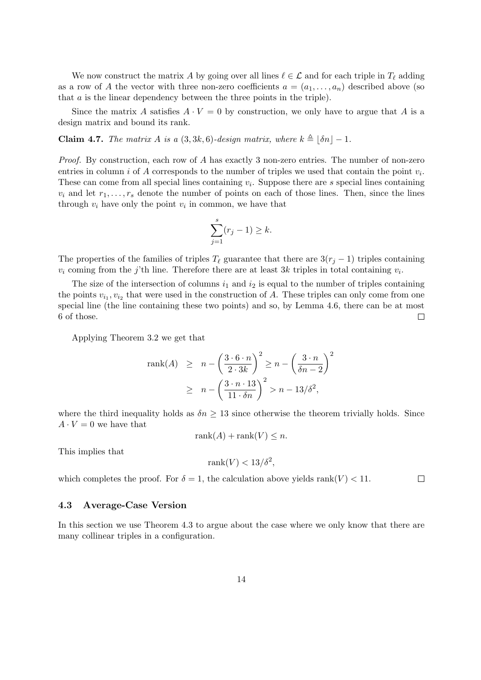We now construct the matrix *A* by going over all lines  $\ell \in \mathcal{L}$  and for each triple in  $T_{\ell}$  adding as a row of *A* the vector with three non-zero coefficients  $a = (a_1, \ldots, a_n)$  described above (so that *a* is the linear dependency between the three points in the triple).

Since the matrix *A* satisfies  $A \cdot V = 0$  by construction, we only have to argue that *A* is a design matrix and bound its rank.

**Claim 4.7.** *The matrix A is a* (3,3*k,* 6)*-design matrix, where*  $k \triangleq |\delta n| - 1$ *.* 

*Proof.* By construction, each row of *A* has exactly 3 non-zero entries. The number of non-zero entries in column *i* of *A* corresponds to the number of triples we used that contain the point  $v_i$ . These can come from all special lines containing *v<sup>i</sup>* . Suppose there are *s* special lines containing  $v_i$  and let  $r_1, \ldots, r_s$  denote the number of points on each of those lines. Then, since the lines through  $v_i$  have only the point  $v_i$  in common, we have that

$$
\sum_{j=1}^{s} (r_j - 1) \ge k.
$$

The properties of the families of triples  $T_{\ell}$  guarantee that there are  $3(r_i - 1)$  triples containing  $v_i$  coming from the *j*'th line. Therefore there are at least 3*k* triples in total containing  $v_i$ .

The size of the intersection of columns  $i_1$  and  $i_2$  is equal to the number of triples containing the points  $v_{i_1}, v_{i_2}$  that were used in the construction of *A*. These triples can only come from one special line (the line containing these two points) and so, by Lemma 4.6, there can be at most 6 of those. П

Applying Theorem 3.2 we get that

rank(A) 
$$
\geq n - \left(\frac{3 \cdot 6 \cdot n}{2 \cdot 3k}\right)^2 \geq n - \left(\frac{3 \cdot n}{\delta n - 2}\right)^2
$$
  
 $\geq n - \left(\frac{3 \cdot n \cdot 13}{11 \cdot \delta n}\right)^2 > n - 13/\delta^2,$ 

where the third inequality holds as  $\delta n \geq 13$  since otherwise the theorem trivially holds. Since  $A \cdot V = 0$  we have that

$$
rank(A) + rank(V) \le n.
$$

This implies that

$$
rank(V) < 13/\delta^2
$$

 $\Box$ which completes the proof. For  $\delta = 1$ , the calculation above yields rank(*V*)  $\lt 11$ .

#### **4.3 Average-Case Version**

In this section we use Theorem 4.3 to argue about the case where we only know that there are many collinear triples in a configuration.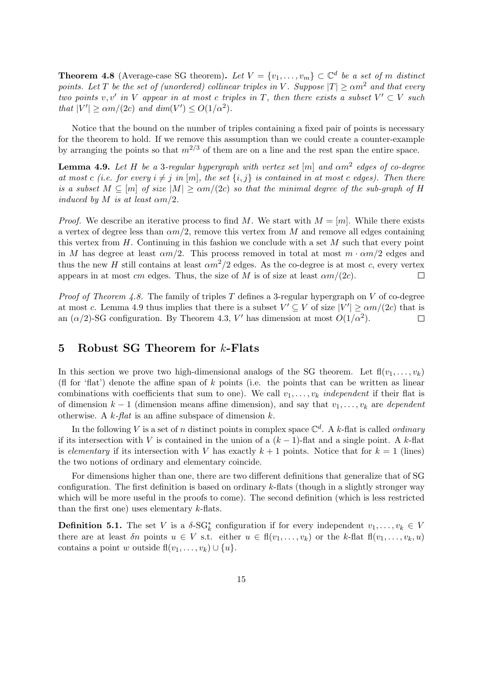**Theorem 4.8** (Average-case SG theorem). Let  $V = \{v_1, \ldots, v_m\} \subset \mathbb{C}^d$  be a set of *m* distinct *points. Let T be the set of (unordered) collinear triples in V*. Suppose  $|T| \geq \alpha m^2$  *and that every two points*  $v, v'$  *in*  $V$  *appear in at most c triples in*  $T$ *, then there exists a subset*  $V' \subset V$  *such that*  $|V'| \ge \alpha m/(2c)$  *and dim*(*V'*)  $\le O(1/\alpha^2)$ *.* 

Notice that the bound on the number of triples containing a fixed pair of points is necessary for the theorem to hold. If we remove this assumption than we could create a counter-example by arranging the points so that  $m^{2/3}$  of them are on a line and the rest span the entire space.

**Lemma 4.9.** *Let H be a* 3*-regular hypergraph with vertex set* [*m*] *and αm*<sup>2</sup> *edges of co-degree at most c (i.e. for every*  $i \neq j$  *in* [*m*]*, the set*  $\{i, j\}$  *is contained in at most c edges*). Then there *is a subset*  $M \subseteq [m]$  *of size*  $|M| \ge \alpha m/(2c)$  *so that the minimal degree of the sub-graph of H induced by*  $M$  *is at least*  $\alpha m/2$ *.* 

*Proof.* We describe an iterative process to find *M*. We start with  $M = [m]$ . While there exists a vertex of degree less than  $\alpha m/2$ , remove this vertex from M and remove all edges containing this vertex from *H*. Continuing in this fashion we conclude with a set *M* such that every point in *M* has degree at least  $\alpha m/2$ . This process removed in total at most  $m \cdot \alpha m/2$  edges and thus the new *H* still contains at least  $\alpha m^2/2$  edges. As the co-degree is at most *c*, every vertex appears in at most *cm* edges. Thus, the size of *M* is of size at least *αm/*(2*c*).  $\Box$ 

*Proof of Theorem 4.8.* The family of triples *T* defines a 3-regular hypergraph on *V* of co-degree at most *c*. Lemma 4.9 thus implies that there is a subset  $V' \subseteq V$  of size  $|V'| \ge \alpha m/(2c)$  that is an  $(\alpha/2)$ -SG configuration. By Theorem 4.3, *V'* has dimension at most  $O(1/\alpha^2)$ .  $\Box$ 

# **5 Robust SG Theorem for** *k***-Flats**

In this section we prove two high-dimensional analogs of the SG theorem. Let  $f_1(v_1, \ldots, v_k)$ (fl for 'flat') denote the affine span of *k* points (i.e. the points that can be written as linear combinations with coefficients that sum to one). We call  $v_1, \ldots, v_k$  *independent* if their flat is of dimension  $k - 1$  (dimension means affine dimension), and say that  $v_1, \ldots, v_k$  are *dependent* otherwise. A *k-flat* is an affine subspace of dimension *k*.

In the following V is a set of *n* distinct points in complex space  $\mathbb{C}^d$ . A *k*-flat is called *ordinary* if its intersection with *V* is contained in the union of a  $(k-1)$ -flat and a single point. A *k*-flat is *elementary* if its intersection with *V* has exactly  $k + 1$  points. Notice that for  $k = 1$  (lines) the two notions of ordinary and elementary coincide.

For dimensions higher than one, there are two different definitions that generalize that of SG configuration. The first definition is based on ordinary *k*-flats (though in a slightly stronger way which will be more useful in the proofs to come). The second definition (which is less restricted than the first one) uses elementary *k*-flats.

**Definition 5.1.** The set *V* is a  $\delta$ -SG<sup>\*</sup><sub>*k*</sub></sub> configuration if for every independent  $v_1, \ldots, v_k \in V$ there are at least  $\delta n$  points  $u \in V$  s.t. either  $u \in fl(v_1, \ldots, v_k)$  or the *k*-flat  $fl(v_1, \ldots, v_k, u)$ contains a point *w* outside  $f(x_1, \ldots, x_k) \cup \{u\}.$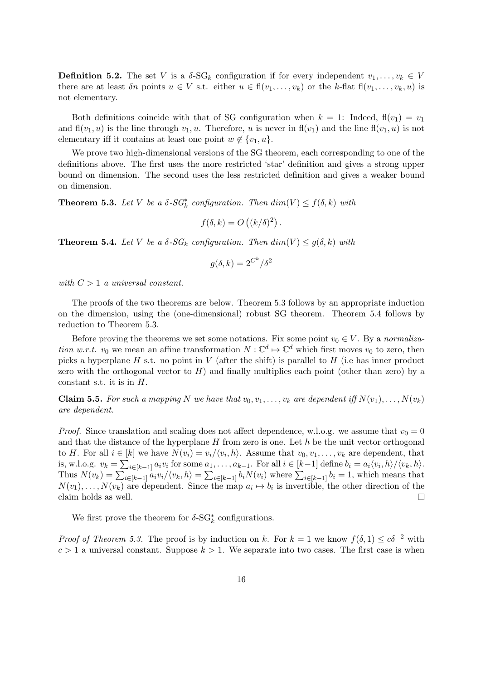**Definition 5.2.** The set *V* is a  $\delta$ -SG<sub>*k*</sub> configuration if for every independent  $v_1, \ldots, v_k \in V$ there are at least  $\delta n$  points  $u \in V$  s.t. either  $u \in \text{fl}(v_1, \ldots, v_k)$  or the *k*-flat  $\text{fl}(v_1, \ldots, v_k, u)$  is not elementary.

Both definitions coincide with that of SG configuration when  $k = 1$ : Indeed,  $f(x_1) = v_1$ and  $f(x_1, u)$  is the line through  $v_1, u$ . Therefore, *u* is never in  $f(v_1)$  and the line  $f(v_1, u)$  is not elementary iff it contains at least one point  $w \notin \{v_1, u\}$ .

We prove two high-dimensional versions of the SG theorem, each corresponding to one of the definitions above. The first uses the more restricted 'star' definition and gives a strong upper bound on dimension. The second uses the less restricted definition and gives a weaker bound on dimension.

**Theorem 5.3.** Let V be a  $\delta$ -SG<sup>\*</sup><sub>*k*</sub> configuration. Then  $dim(V) \leq f(\delta, k)$  with

 $f(\delta, k) = O((k/\delta)^2)$ .

**Theorem 5.4.** *Let V be a*  $\delta$ -*SG*<sub>*k*</sub> *configuration. Then*  $dim(V) \leq g(\delta, k)$  *with* 

$$
g(\delta, k) = 2^{C^k}/\delta^2
$$

*with C >* 1 *a universal constant.*

The proofs of the two theorems are below. Theorem 5.3 follows by an appropriate induction on the dimension, using the (one-dimensional) robust SG theorem. Theorem 5.4 follows by reduction to Theorem 5.3.

Before proving the theorems we set some notations. Fix some point  $v_0 \in V$ . By a *normalization w.r.t.*  $v_0$  we mean an affine transformation  $N : \mathbb{C}^d \to \mathbb{C}^d$  which first moves  $v_0$  to zero, then picks a hyperplane *H* s.t. no point in *V* (after the shift) is parallel to *H* (i.e has inner product zero with the orthogonal vector to *H*) and finally multiplies each point (other than zero) by a constant s.t. it is in *H*.

**Claim 5.5.** For such a mapping N we have that  $v_0, v_1, \ldots, v_k$  are dependent iff  $N(v_1), \ldots, N(v_k)$ *are dependent.*

*Proof.* Since translation and scaling does not affect dependence, w.l.o.g. we assume that  $v_0 = 0$ and that the distance of the hyperplane *H* from zero is one. Let *h* be the unit vector orthogonal to H. For all  $i \in [k]$  we have  $N(v_i) = v_i / \langle v_i, h \rangle$ . Assume that  $v_0, v_1, \ldots, v_k$  are dependent, that is, w.l.o.g.  $v_k = \sum_{i \in [k-1]} a_i v_i$  for some  $a_1, \ldots, a_{k-1}$ . For all  $i \in [k-1]$  define  $b_i = a_i \langle v_i, h \rangle / \langle v_k, h \rangle$ . Thus  $N(v_k) = \sum_{i \in [k-1]} a_i v_i / \langle v_k, h \rangle = \sum_{i \in [k-1]} b_i N(v_i)$  where  $\sum_{i \in [k-1]} b_i = 1$ , which means that  $N(v_1), \ldots, N(v_k)$  are dependent. Since the map  $a_i \mapsto b_i$  is invertible, the other direction of the claim holds as well.  $\Box$ 

We first prove the theorem for  $\delta$ -SG<sup>\*</sup><sub>*k*</sub></sub> configurations.

*Proof of Theorem 5.3.* The proof is by induction on *k*. For  $k = 1$  we know  $f(\delta, 1) \leq c\delta^{-2}$  with  $c > 1$  a universal constant. Suppose  $k > 1$ . We separate into two cases. The first case is when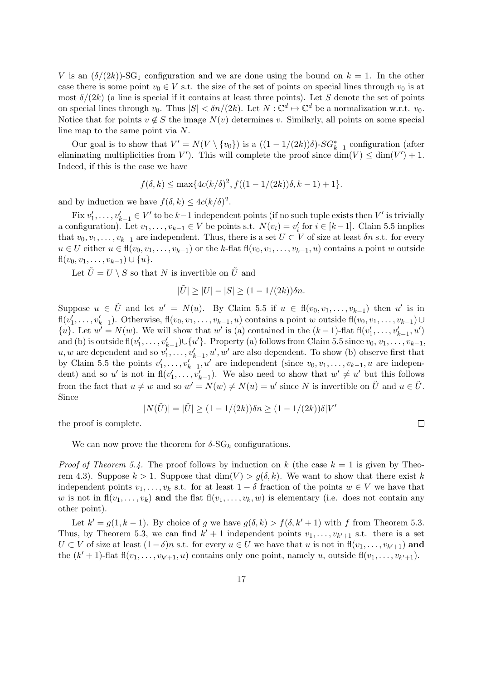*V* is an  $(\delta/(2k))$ -SG<sub>1</sub> configuration and we are done using the bound on  $k = 1$ . In the other case there is some point  $v_0 \in V$  s.t. the size of the set of points on special lines through  $v_0$  is at most  $\delta/(2k)$  (a line is special if it contains at least three points). Let *S* denote the set of points on special lines through  $v_0$ . Thus  $|S| < \delta n/(2k)$ . Let  $N : \mathbb{C}^d \to \mathbb{C}^d$  be a normalization w.r.t.  $v_0$ . Notice that for points  $v \notin S$  the image  $N(v)$  determines *v*. Similarly, all points on some special line map to the same point via *N*.

Our goal is to show that  $V' = N(V \setminus \{v_0\})$  is a  $((1 - 1/(2k))\delta)$ - $SG^*_{k-1}$  configuration (after eliminating multiplicities from *V*<sup> $\prime$ </sup>). This will complete the proof since dim(*V*)  $\leq$  dim(*V*<sup> $\prime$ </sup>) + 1. Indeed, if this is the case we have

$$
f(\delta, k) \le \max\{4c(k/\delta)^2, f((1 - 1/(2k))\delta, k - 1) + 1\}.
$$

and by induction we have  $f(\delta, k) \leq 4c(k/\delta)^2$ .

Fix  $v'_1, \ldots, v'_{k-1}$  ∈ *V'* to be  $k-1$  independent points (if no such tuple exists then *V'* is trivially a configuration). Let  $v_1, \ldots, v_{k-1} \in V$  be points s.t.  $N(v_i) = v'_i$  for  $i \in [k-1]$ . Claim 5.5 implies that  $v_0, v_1, \ldots, v_{k-1}$  are independent. Thus, there is a set  $U \subset V$  of size at least  $\delta n$  s.t. for every  $u \in U$  either  $u \in fl(v_0, v_1, \ldots, v_{k-1})$  or the k-flat  $fl(v_0, v_1, \ldots, v_{k-1}, u)$  contains a point w outside fl(*v*0*, v*1*, . . . , vk−*1) *∪ {u}*.

Let  $\tilde{U} = U \setminus S$  so that *N* is invertible on  $\tilde{U}$  and

$$
|\tilde{U}| \ge |U| - |S| \ge (1 - 1/(2k))\delta n.
$$

Suppose  $u \in U$  and let  $u' = N(u)$ . By Claim 5.5 if  $u \in fl(v_0, v_1, \ldots, v_{k-1})$  then  $u'$  is in  $f_1(v'_1, \ldots, v'_{k-1})$ . Otherwise,  $f_1(v_0, v_1, \ldots, v_{k-1}, u)$  contains a point w outside  $f_1(v_0, v_1, \ldots, v_{k-1}) \cup$  $\{u\}$ . Let  $w' = N(w)$ . We will show that w' is (a) contained in the  $(k-1)$ -flat  $\text{fl}(v'_1, \ldots, v'_{k-1}, u')$ and (b) is outside  $\text{fl}(v'_1, \ldots, v'_{k-1}) \cup \{u'\}$ . Property (a) follows from Claim 5.5 since  $v_0, v_1, \ldots, v_{k-1},$ *u*, *w* are dependent and so  $v'_1, \ldots, v'_{k-1}, u', w'$  are also dependent. To show (b) observe first that by Claim 5.5 the points  $v'_1, \ldots, v'_{k-1}, u'$  are independent (since  $v_0, v_1, \ldots, v_{k-1}, u$  are independent) and so *u*' is not in  $fl(v'_1, \ldots, v'_{k-1})$ . We also need to show that  $w' \neq u'$  but this follows from the fact that  $u \neq w$  and so  $w' = N(w) \neq N(u) = u'$  since N is invertible on  $\tilde{U}$  and  $u \in \tilde{U}$ . Since

$$
|N(\tilde{U})| = |\tilde{U}| \ge (1 - 1/(2k))\delta n \ge (1 - 1/(2k))\delta|V'|
$$

 $\Box$ 

the proof is complete.

We can now prove the theorem for  $\delta$ -SG<sub>k</sub> configurations.

*Proof of Theorem 5.4.* The proof follows by induction on  $k$  (the case  $k = 1$  is given by Theorem 4.3). Suppose  $k > 1$ . Suppose that  $\dim(V) > g(\delta, k)$ . We want to show that there exist *k* independent points  $v_1, \ldots, v_k$  s.t. for at least  $1 - \delta$  fraction of the points  $w \in V$  we have that *w* is not in  $fl(v_1, \ldots, v_k)$  and the flat  $fl(v_1, \ldots, v_k, w)$  is elementary (i.e. does not contain any other point).

Let  $k' = g(1, k - 1)$ . By choice of *g* we have  $g(\delta, k) > f(\delta, k' + 1)$  with *f* from Theorem 5.3. Thus, by Theorem 5.3, we can find  $k' + 1$  independent points  $v_1, \ldots, v_{k'+1}$  s.t. there is a set *U* ⊂ *V* of size at least  $(1 - \delta)n$  s.t. for every  $u \in U$  we have that *u* is not in fl(*v*<sub>1</sub>*, . . . , v<sub>k'+1</sub>*) **and** the  $(k' + 1)$ -flat  $f(x_1, \ldots, x_{k'+1}, u)$  contains only one point, namely *u*, outside  $f(x_1, \ldots, x_{k'+1})$ .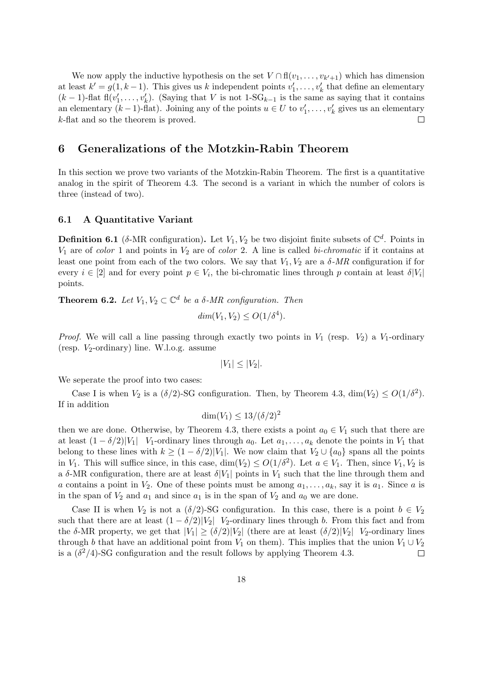We now apply the inductive hypothesis on the set  $V \cap fl(v_1, \ldots, v_{k'+1})$  which has dimension at least  $k' = g(1, k - 1)$ . This gives us *k* independent points  $v'_1, \ldots, v'_k$  that define an elementary  $(k-1)$ -flat fl $(v'_1, \ldots, v'_k)$ . (Saying that *V* is not 1-SG<sub>*k*-1</sub> is the same as saying that it contains an elementary  $(k-1)$ -flat). Joining any of the points  $u \in U$  to  $v'_1, \ldots, v'_k$  gives us an elementary *k*-flat and so the theorem is proved.  $\Box$ 

# **6 Generalizations of the Motzkin-Rabin Theorem**

In this section we prove two variants of the Motzkin-Rabin Theorem. The first is a quantitative analog in the spirit of Theorem 4.3. The second is a variant in which the number of colors is three (instead of two).

#### **6.1 A Quantitative Variant**

**Definition 6.1** ( $\delta$ -MR configuration). Let  $V_1, V_2$  be two disjoint finite subsets of  $\mathbb{C}^d$ . Points in *V*<sup>1</sup> are of *color* 1 and points in *V*<sup>2</sup> are of *color* 2. A line is called *bi-chromatic* if it contains at least one point from each of the two colors. We say that  $V_1, V_2$  are a  $\delta$ -MR configuration if for every  $i \in [2]$  and for every point  $p \in V_i$ , the bi-chromatic lines through  $p$  contain at least  $\delta|V_i|$ points.

**Theorem 6.2.** *Let*  $V_1, V_2 \subset \mathbb{C}^d$  *be a δ-MR configuration. Then* 

$$
dim(V_1, V_2) \le O(1/\delta^4).
$$

*Proof.* We will call a line passing through exactly two points in  $V_1$  (resp.  $V_2$ ) a  $V_1$ -ordinary (resp. *V*2-ordinary) line. W.l.o.g. assume

 $|V_1| \leq |V_2|$ .

We seperate the proof into two cases:

Case I is when  $V_2$  is a  $(\delta/2)$ -SG configuration. Then, by Theorem 4.3, dim $(V_2) \leq O(1/\delta^2)$ . If in addition

$$
\dim(V_1) \le 13/(\delta/2)^2
$$

then we are done. Otherwise, by Theorem 4.3, there exists a point  $a_0 \in V_1$  such that there are at least  $(1 - \delta/2)|V_1|$  *V*<sub>1</sub>-ordinary lines through *a*<sub>0</sub>. Let *a*<sub>1</sub>*,..., a<sub>k</sub> denote the points in <i>V*<sub>1</sub> that belong to these lines with  $k \geq (1 - \delta/2)|V_1|$ . We now claim that  $V_2 \cup \{a_0\}$  spans all the points in *V*<sub>1</sub>. This will suffice since, in this case,  $\dim(V_2) \leq O(1/\delta^2)$ . Let  $a \in V_1$ . Then, since *V*<sub>1</sub>*, V*<sub>2</sub> is a  $\delta$ -MR configuration, there are at least  $\delta|V_1|$  points in  $V_1$  such that the line through them and *a* contains a point in  $V_2$ . One of these points must be among  $a_1, \ldots, a_k$ , say it is  $a_1$ . Since *a* is in the span of  $V_2$  and  $a_1$  and since  $a_1$  is in the span of  $V_2$  and  $a_0$  we are done.

Case II is when  $V_2$  is not a  $(\delta/2)$ -SG configuration. In this case, there is a point  $b \in V_2$ such that there are at least  $(1 - \delta/2)|V_2| V_2$ -ordinary lines through *b*. From this fact and from the *δ*-MR property, we get that  $|V_1| \ge (\delta/2)|V_2|$  (there are at least  $(\delta/2)|V_2|$   $V_2$ -ordinary lines through *b* that have an additional point from  $V_1$  on them). This implies that the union  $V_1 \cup V_2$ is a  $(\delta^2/4)$ -SG configuration and the result follows by applying Theorem 4.3.  $\Box$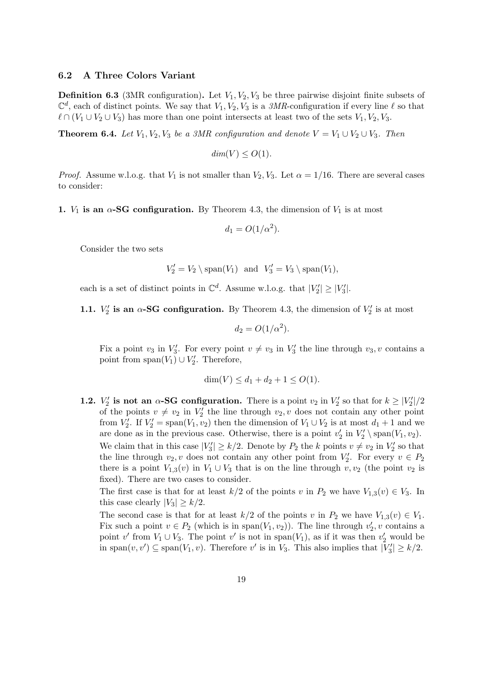#### **6.2 A Three Colors Variant**

**Definition 6.3** (3MR configuration). Let  $V_1, V_2, V_3$  be three pairwise disjoint finite subsets of  $\mathbb{C}^d$ , each of distinct points. We say that  $V_1, V_2, V_3$  is a *3MR*-configuration if every line  $\ell$  so that  $ℓ ∩ (V₁ ∪ V₂ ∪ V₃)$  has more than one point intersects at least two of the sets  $V₁, V₂, V₃$ .

**Theorem 6.4.** *Let*  $V_1, V_2, V_3$  *be a 3MR configuration and denote*  $V = V_1 \cup V_2 \cup V_3$ *. Then* 

$$
dim(V) \le O(1).
$$

*Proof.* Assume w.l.o.g. that  $V_1$  is not smaller than  $V_2$ ,  $V_3$ . Let  $\alpha = 1/16$ . There are several cases to consider:

**1.**  $V_1$  is an  $\alpha$ -SG configuration. By Theorem 4.3, the dimension of  $V_1$  is at most

$$
d_1 = O(1/\alpha^2).
$$

Consider the two sets

$$
V_2' = V_2 \setminus \text{span}(V_1) \text{ and } V_3' = V_3 \setminus \text{span}(V_1),
$$

each is a set of distinct points in  $\mathbb{C}^d$ . Assume w.l.o.g. that  $|V'_2| \geq |V'_3|$ .

**1.1.**  $V'_2$  is an  $\alpha$ -SG configuration. By Theorem 4.3, the dimension of  $V'_2$  is at most

$$
d_2 = O(1/\alpha^2).
$$

Fix a point *v*<sub>3</sub> in *V*<sub>3</sub><sup>'</sup>. For every point  $v \neq v_3$  in *V*<sub>3</sub><sup>'</sup> the line through *v*<sub>3</sub>*, v* contains a point from span $(V_1) \cup V'_2$ . Therefore,

$$
\dim(V) \le d_1 + d_2 + 1 \le O(1).
$$

**1.2.** *V*<sub>2</sub> is not an  $\alpha$ -SG configuration. There is a point  $v_2$  in  $V_2'$  so that for  $k \ge |V_2'|/2$ of the points  $v \neq v_2$  in  $V'_2$  the line through  $v_2, v$  does not contain any other point from  $V_2'$ . If  $V_2' = \text{span}(V_1, v_2)$  then the dimension of  $V_1 \cup V_2$  is at most  $d_1 + 1$  and we are done as in the previous case. Otherwise, there is a point  $v'_2$  in  $V'_2 \setminus \text{span}(V_1, v_2)$ . We claim that in this case  $|V'_3| \ge k/2$ . Denote by  $P_2$  the *k* points  $v \ne v_2$  in  $V'_2$  so that the line through  $v_2, v$  does not contain any other point from  $V'_2$ . For every  $v \in P_2$ there is a point  $V_{1,3}(v)$  in  $V_1 \cup V_3$  that is on the line through  $v, v_2$  (the point  $v_2$  is fixed). There are two cases to consider.

The first case is that for at least  $k/2$  of the points *v* in  $P_2$  we have  $V_{1,3}(v) \in V_3$ . In this case clearly  $|V_3| \geq k/2$ .

The second case is that for at least  $k/2$  of the points *v* in  $P_2$  we have  $V_{1,3}(v) \in V_1$ . Fix such a point  $v \in P_2$  (which is in span( $V_1, v_2$ )). The line through  $v'_2, v$  contains a point *v*<sup> $\prime$ </sup> from  $V_1 \cup V_3$ . The point *v*<sup> $\prime$ </sup> is not in span( $V_1$ ), as if it was then  $v_2'$  would be in span $(v, v')$  ⊆ span $(V_1, v)$ . Therefore  $v'$  is in  $V_3$ . This also implies that  $|V'_3|$  ≥  $k/2$ .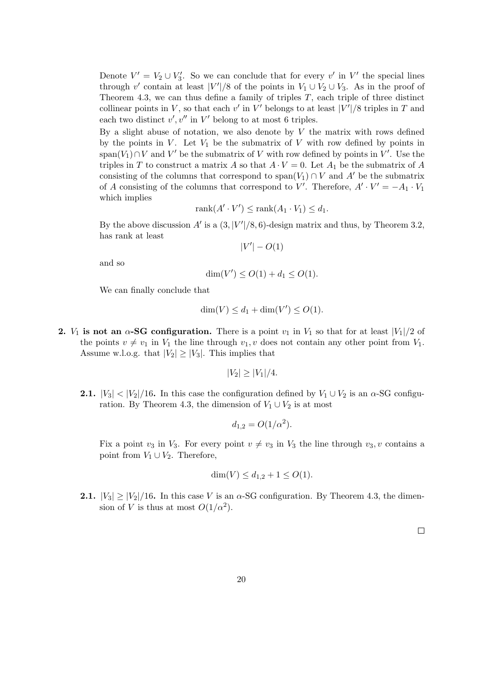Denote  $V' = V_2 \cup V'_3$ . So we can conclude that for every  $v'$  in  $V'$  the special lines through *v*' contain at least  $|V'|/8$  of the points in  $V_1 \cup V_2 \cup V_3$ . As in the proof of Theorem 4.3, we can thus define a family of triples *T*, each triple of three distinct collinear points in *V*, so that each  $v'$  in  $V'$  belongs to at least  $|V'|/8$  triples in *T* and each two distinct  $v', v''$  in  $V'$  belong to at most 6 triples.

By a slight abuse of notation, we also denote by *V* the matrix with rows defined by the points in  $V$ . Let  $V_1$  be the submatrix of  $V$  with row defined by points in  $\text{span}(V_1) \cap V$  and  $V'$  be the submatrix of  $V$  with row defined by points in  $V'$ . Use the triples in *T* to construct a matrix *A* so that  $A \cdot V = 0$ . Let  $A_1$  be the submatrix of *A* consisting of the columns that correspond to span $(V_1) \cap V$  and A<sup>*'*</sup> be the submatrix of *A* consisting of the columns that correspond to *V*'. Therefore,  $A' \cdot V' = -A_1 \cdot V_1$ which implies

$$
rank(A' \cdot V') \le rank(A_1 \cdot V_1) \le d_1.
$$

By the above discussion  $A'$  is a  $(3, |V'|/8, 6)$ -design matrix and thus, by Theorem 3.2, has rank at least

$$
|V'| - O(1)
$$

and so

$$
\dim(V') \le O(1) + d_1 \le O(1).
$$

We can finally conclude that

$$
\dim(V) \le d_1 + \dim(V') \le O(1).
$$

**2.** *V*<sub>1</sub> is not an  $\alpha$ -SG configuration. There is a point  $v_1$  in  $V_1$  so that for at least  $|V_1|/2$  of the points  $v \neq v_1$  in  $V_1$  the line through  $v_1, v$  does not contain any other point from  $V_1$ . Assume w.l.o.g. that  $|V_2| \geq |V_3|$ . This implies that

$$
|V_2| \ge |V_1|/4.
$$

**2.1.**  $|V_3| < |V_2|/16$ . In this case the configuration defined by  $V_1 \cup V_2$  is an *α*-SG configuration. By Theorem 4.3, the dimension of  $V_1 \cup V_2$  is at most

$$
d_{1,2}=O(1/\alpha^2).
$$

Fix a point  $v_3$  in  $V_3$ . For every point  $v \neq v_3$  in  $V_3$  the line through  $v_3$ , *v* contains a point from  $V_1 \cup V_2$ . Therefore,

$$
\dim(V) \le d_{1,2} + 1 \le O(1).
$$

**2.1.**  $|V_3| \ge |V_2|/16$ . In this case *V* is an *α*-SG configuration. By Theorem 4.3, the dimension of *V* is thus at most  $O(1/\alpha^2)$ .

 $\Box$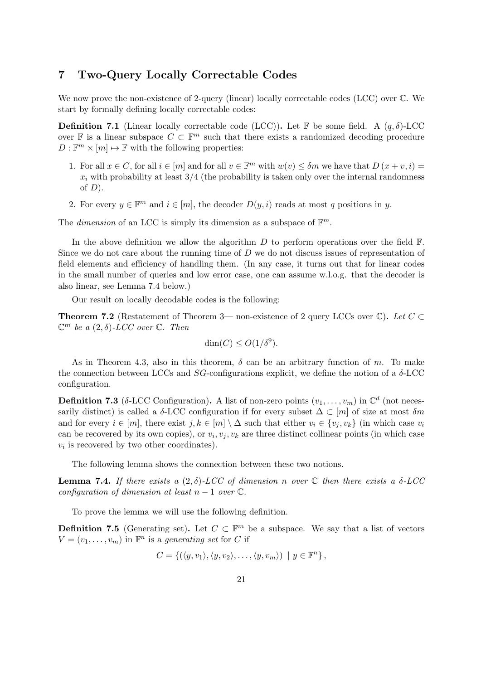# **7 Two-Query Locally Correctable Codes**

We now prove the non-existence of 2-query (linear) locally correctable codes (LCC) over  $\mathbb{C}$ . We start by formally defining locally correctable codes:

**Definition 7.1** (Linear locally correctable code (LCC)). Let F be some field. A  $(q, \delta)$ -LCC over F is a linear subspace  $C \subset \mathbb{F}^m$  such that there exists a randomized decoding procedure  $D: \mathbb{F}^m \times [m] \mapsto \mathbb{F}$  with the following properties:

- 1. For all  $x \in C$ , for all  $i \in [m]$  and for all  $v \in \mathbb{F}^m$  with  $w(v) \leq \delta m$  we have that  $D(x+v, i) =$  $x_i$  with probability at least  $3/4$  (the probability is taken only over the internal randomness of *D*).
- 2. For every  $y \in \mathbb{F}^m$  and  $i \in [m]$ , the decoder  $D(y, i)$  reads at most q positions in y.

The *dimension* of an LCC is simply its dimension as a subspace of  $\mathbb{F}^m$ .

In the above definition we allow the algorithm *D* to perform operations over the field  $\mathbb{F}$ . Since we do not care about the running time of *D* we do not discuss issues of representation of field elements and efficiency of handling them. (In any case, it turns out that for linear codes in the small number of queries and low error case, one can assume w.l.o.g. that the decoder is also linear, see Lemma 7.4 below.)

Our result on locally decodable codes is the following:

**Theorem 7.2** (Restatement of Theorem 3— non-existence of 2 query LCCs over  $\mathbb{C}$ ). Let  $C \subset$  $\mathbb{C}^m$  *be a*  $(2, \delta)$ -*LCC* over  $\mathbb{C}$ *. Then* 

$$
\dim(C) \le O(1/\delta^9).
$$

As in Theorem 4.3, also in this theorem,  $\delta$  can be an arbitrary function of *m*. To make the connection between LCCs and *SG*-configurations explicit, we define the notion of a *δ*-LCC configuration.

**Definition 7.3** ( $\delta$ -LCC Configuration). A list of non-zero points  $(v_1, \ldots, v_m)$  in  $\mathbb{C}^d$  (not necessarily distinct) is called a  $\delta$ -LCC configuration if for every subset  $\Delta \subset [m]$  of size at most  $\delta m$ and for every  $i \in [m]$ , there exist  $j, k \in [m] \setminus \Delta$  such that either  $v_i \in \{v_j, v_k\}$  (in which case  $v_i$ can be recovered by its own copies), or  $v_i, v_j, v_k$  are three distinct collinear points (in which case  $v_i$  is recovered by two other coordinates).

The following lemma shows the connection between these two notions.

**Lemma 7.4.** *If there exists a*  $(2, δ)$ *-LCC of dimension n over*  $\mathbb C$  *then there exists a*  $δ$ *-LCC configuration of dimension at least*  $n-1$  *over*  $\mathbb{C}$ *.* 

To prove the lemma we will use the following definition.

**Definition 7.5** (Generating set). Let  $C \subset \mathbb{F}^m$  be a subspace. We say that a list of vectors  $V = (v_1, \ldots, v_m)$  in  $\mathbb{F}^n$  is a *generating set* for *C* if

$$
C = \{ (\langle y, v_1 \rangle, \langle y, v_2 \rangle, \dots, \langle y, v_m \rangle) \mid y \in \mathbb{F}^n \},
$$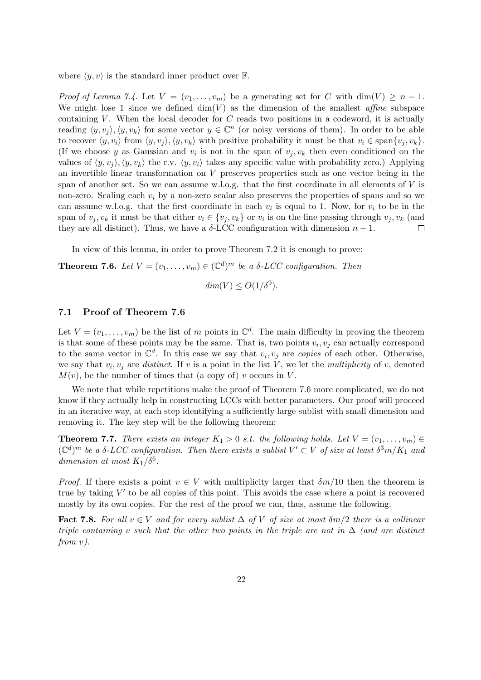where  $\langle y, v \rangle$  is the standard inner product over **F**.

*Proof of Lemma 7.4.* Let  $V = (v_1, \ldots, v_m)$  be a generating set for C with dim(V)  $\geq n-1$ . We might lose 1 since we defined  $dim(V)$  as the dimension of the smallest *affine* subspace containing *V*. When the local decoder for *C* reads two positions in a codeword, it is actually reading  $\langle y, v_j \rangle$ ,  $\langle y, v_k \rangle$  for some vector  $y \in \mathbb{C}^n$  (or noisy versions of them). In order to be able to recover  $\langle y, v_i \rangle$  from  $\langle y, v_i \rangle, \langle y, v_k \rangle$  with positive probability it must be that  $v_i \in \text{span}\{v_i, v_k\}.$ (If we choose *y* as Gaussian and  $v_i$  is not in the span of  $v_j$ ,  $v_k$  then even conditioned on the values of  $\langle y, v_i \rangle$ ,  $\langle y, v_k \rangle$  the r.v.  $\langle y, v_i \rangle$  takes any specific value with probability zero.) Applying an invertible linear transformation on *V* preserves properties such as one vector being in the span of another set. So we can assume w.l.o.g. that the first coordinate in all elements of *V* is non-zero. Scaling each  $v_i$  by a non-zero scalar also preserves the properties of spans and so we can assume w.l.o.g. that the first coordinate in each  $v_i$  is equal to 1. Now, for  $v_i$  to be in the span of  $v_j, v_k$  it must be that either  $v_i \in \{v_j, v_k\}$  or  $v_i$  is on the line passing through  $v_j, v_k$  (and they are all distinct). Thus, we have a  $\delta$ -LCC configuration with dimension *n* − 1.  $\Box$ 

In view of this lemma, in order to prove Theorem 7.2 it is enough to prove:

**Theorem 7.6.** *Let*  $V = (v_1, \ldots, v_m) \in (\mathbb{C}^d)^m$  *be a δ*-*LCC configuration. Then* 

$$
dim(V) \le O(1/\delta^9).
$$

#### **7.1 Proof of Theorem 7.6**

Let  $V = (v_1, \ldots, v_m)$  be the list of *m* points in  $\mathbb{C}^d$ . The main difficulty in proving the theorem is that some of these points may be the same. That is, two points  $v_i, v_j$  can actually correspond to the same vector in  $\mathbb{C}^d$ . In this case we say that  $v_i, v_j$  are *copies* of each other. Otherwise, we say that  $v_i, v_j$  are *distinct*. If *v* is a point in the list *V*, we let the *multiplicity* of *v*, denoted  $M(v)$ , be the number of times that (a copy of) *v* occurs in *V*.

We note that while repetitions make the proof of Theorem 7.6 more complicated, we do not know if they actually help in constructing LCCs with better parameters. Our proof will proceed in an iterative way, at each step identifying a sufficiently large sublist with small dimension and removing it. The key step will be the following theorem:

**Theorem 7.7.** *There exists an integer*  $K_1 > 0$  *s.t. the following holds. Let*  $V = (v_1, \ldots, v_m) \in$  $({\mathbb{C}}^d)^m$  be a  $\delta$ -LCC configuration. Then there exists a sublist  $V' \subset V$  of size at least  $\delta^3 m/K_1$  and *dimension at most*  $K_1/\delta^6$ .

*Proof.* If there exists a point  $v \in V$  with multiplicity larger that  $\delta m/10$  then the theorem is true by taking V' to be all copies of this point. This avoids the case where a point is recovered mostly by its own copies. For the rest of the proof we can, thus, assume the following.

**Fact 7.8.** For all  $v \in V$  and for every sublist  $\Delta$  of V of size at most  $\delta m/2$  there is a collinear *triple containing v such that the other two points in the triple are not in*  $\Delta$  *(and are distinct from v).*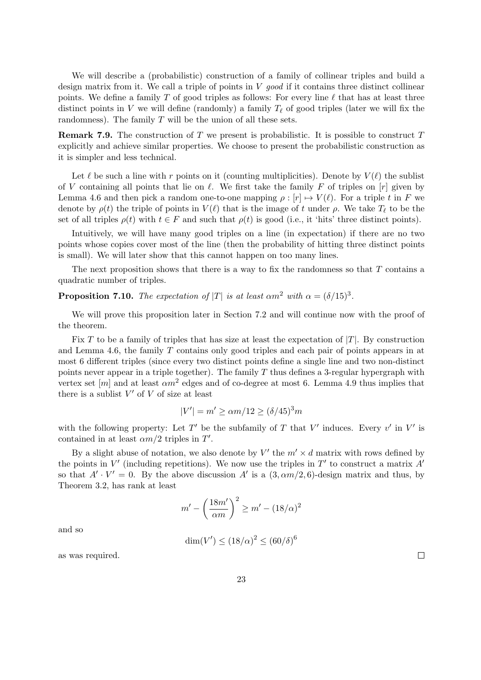We will describe a (probabilistic) construction of a family of collinear triples and build a design matrix from it. We call a triple of points in *V good* if it contains three distinct collinear points. We define a family *T* of good triples as follows: For every line *ℓ* that has at least three distinct points in *V* we will define (randomly) a family  $T_\ell$  of good triples (later we will fix the randomness). The family *T* will be the union of all these sets.

**Remark 7.9.** The construction of *T* we present is probabilistic. It is possible to construct *T* explicitly and achieve similar properties. We choose to present the probabilistic construction as it is simpler and less technical.

Let  $\ell$  be such a line with r points on it (counting multiplicities). Denote by  $V(\ell)$  the sublist of *V* containing all points that lie on  $\ell$ . We first take the family *F* of triples on [*r*] given by Lemma 4.6 and then pick a random one-to-one mapping  $\rho : [r] \mapsto V(\ell)$ . For a triple *t* in *F* we denote by  $\rho(t)$  the triple of points in  $V(\ell)$  that is the image of t under  $\rho$ . We take  $T_{\ell}$  to be the set of all triples  $\rho(t)$  with  $t \in F$  and such that  $\rho(t)$  is good (i.e., it 'hits' three distinct points).

Intuitively, we will have many good triples on a line (in expectation) if there are no two points whose copies cover most of the line (then the probability of hitting three distinct points is small). We will later show that this cannot happen on too many lines.

The next proposition shows that there is a way to fix the randomness so that *T* contains a quadratic number of triples.

**Proposition 7.10.** *The expectation of*  $|T|$  *is at least*  $\alpha m^2$  *with*  $\alpha = (\delta/15)^3$ *.* 

We will prove this proposition later in Section 7.2 and will continue now with the proof of the theorem.

Fix *T* to be a family of triples that has size at least the expectation of *|T|*. By construction and Lemma 4.6, the family *T* contains only good triples and each pair of points appears in at most 6 different triples (since every two distinct points define a single line and two non-distinct points never appear in a triple together). The family *T* thus defines a 3-regular hypergraph with vertex set  $[m]$  and at least  $\alpha m^2$  edges and of co-degree at most 6. Lemma 4.9 thus implies that there is a sublist  $V'$  of  $V$  of size at least

$$
|V'| = m' \ge \alpha m / 12 \ge (\delta / 45)^3 m
$$

with the following property: Let T' be the subfamily of T that V' induces. Every  $v'$  in V' is contained in at least *αm/*2 triples in *T ′* .

By a slight abuse of notation, we also denote by  $V'$  the  $m' \times d$  matrix with rows defined by the points in  $V'$  (including repetitions). We now use the triples in  $T'$  to construct a matrix  $A'$ so that  $A' \cdot V' = 0$ . By the above discussion  $A'$  is a  $(3, \alpha m/2, 6)$ -design matrix and thus, by Theorem 3.2, has rank at least

$$
m' - \left(\frac{18m'}{\alpha m}\right)^2 \ge m' - (18/\alpha)^2
$$

and so

$$
\dim(V') \le (18/\alpha)^2 \le (60/\delta)^6
$$

as was required.

 $\Box$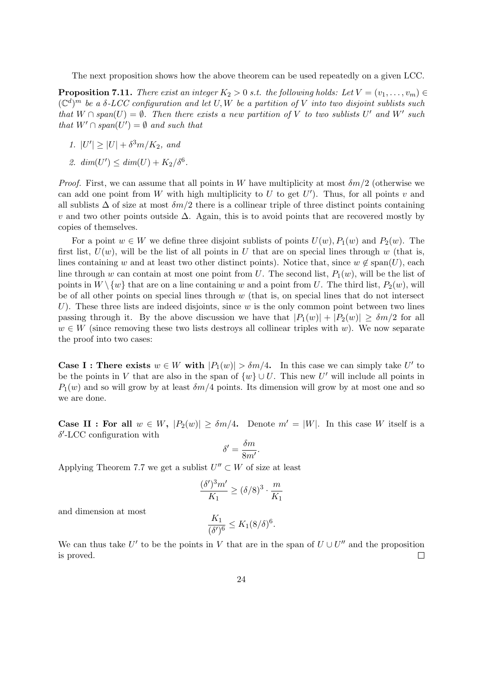The next proposition shows how the above theorem can be used repeatedly on a given LCC.

**Proposition 7.11.** *There exist an integer*  $K_2 > 0$  *s.t. the following holds: Let*  $V = (v_1, \ldots, v_m) \in$ (C *d* ) *<sup>m</sup> be a δ-LCC configuration and let U, W be a partition of V into two disjoint sublists such that*  $W \cap span(U) = \emptyset$ . Then there exists a new partition of V to two sublists  $U'$  and  $W'$  such *that*  $W' \cap span(U') = \emptyset$  *and such that* 

- *1.*  $|U'| \geq |U| + \delta^3 m / K_2$ , and
- 2.  $dim(U') \leq dim(U) + K_2/\delta^6$ .

*Proof.* First, we can assume that all points in *W* have multiplicity at most *δm/*2 (otherwise we can add one point from *W* with high multiplicity to *U* to get  $U'$ ). Thus, for all points *v* and all sublists  $\Delta$  of size at most  $\delta m/2$  there is a collinear triple of three distinct points containing *v* and two other points outside  $\Delta$ . Again, this is to avoid points that are recovered mostly by copies of themselves.

For a point  $w \in W$  we define three disjoint sublists of points  $U(w)$ ,  $P_1(w)$  and  $P_2(w)$ . The first list,  $U(w)$ , will be the list of all points in U that are on special lines through w (that is, lines containing *w* and at least two other distinct points). Notice that, since  $w \notin \text{span}(U)$ , each line through *w* can contain at most one point from *U*. The second list,  $P_1(w)$ , will be the list of points in  $W \setminus \{w\}$  that are on a line containing *w* and a point from *U*. The third list,  $P_2(w)$ , will be of all other points on special lines through *w* (that is, on special lines that do not intersect *U*). These three lists are indeed disjoints, since *w* is the only common point between two lines passing through it. By the above discussion we have that  $|P_1(w)| + |P_2(w)| \ge \delta m/2$  for all  $w \in W$  (since removing these two lists destroys all collinear triples with *w*). We now separate the proof into two cases:

**Case I : There exists**  $w \in W$  with  $|P_1(w)| > \delta m/4$ . In this case we can simply take U' to be the points in *V* that are also in the span of  $\{w\} \cup U$ . This new *U'* will include all points in  $P_1(w)$  and so will grow by at least  $\delta m/4$  points. Its dimension will grow by at most one and so we are done.

**Case II : For all**  $w \in W$ ,  $|P_2(w)| \ge \delta m/4$ . Denote  $m' = |W|$ . In this case *W* itself is a *δ ′* -LCC configuration with

$$
\delta' = \frac{\delta m}{8m'}.
$$

Applying Theorem 7.7 we get a sublist  $U'' \subset W$  of size at least

$$
\frac{(\delta')^3 m'}{K_1} \ge (\delta/8)^3 \cdot \frac{m}{K_1}
$$

and dimension at most

$$
\frac{K_1}{(\delta')^6} \leq K_1 (8/\delta)^6.
$$

We can thus take  $U'$  to be the points in  $V$  that are in the span of  $U \cup U''$  and the proposition is proved.  $\Box$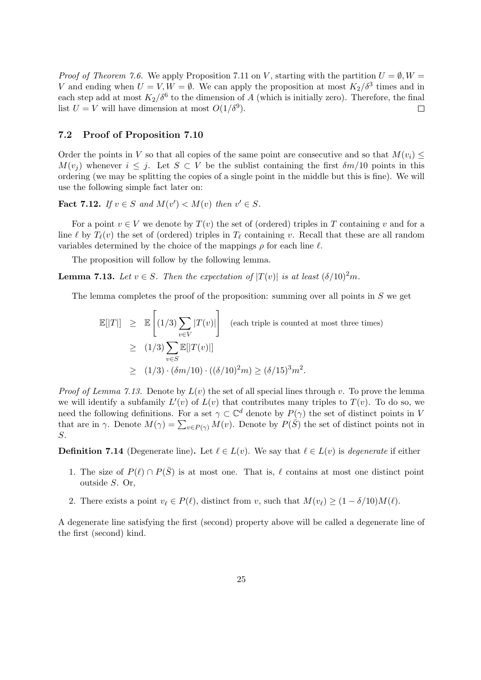*Proof of Theorem 7.6.* We apply Proposition 7.11 on *V*, starting with the partition  $U = \emptyset$ ,  $W =$ *V* and ending when  $U = V, W = \emptyset$ . We can apply the proposition at most  $K_2/\delta^3$  times and in each step add at most  $K_2/\delta^6$  to the dimension of *A* (which is initially zero). Therefore, the final list  $U = V$  will have dimension at most  $O(1/\delta^9)$ .  $\Box$ 

#### **7.2 Proof of Proposition 7.10**

Order the points in *V* so that all copies of the same point are consecutive and so that  $M(v_i) \leq$ *M*(*v*<sub>*j*</sub>) whenever *i* ≤ *j*. Let *S* ⊂ *V* be the sublist containing the first  $\delta m/10$  points in this ordering (we may be splitting the copies of a single point in the middle but this is fine). We will use the following simple fact later on:

**Fact 7.12.** *If*  $v \in S$  *and*  $M(v') < M(v)$  *then*  $v' \in S$ *.* 

For a point  $v \in V$  we denote by  $T(v)$  the set of (ordered) triples in T containing v and for a line  $\ell$  by  $T_{\ell}(v)$  the set of (ordered) triples in  $T_{\ell}$  containing *v*. Recall that these are all random variables determined by the choice of the mappings  $\rho$  for each line  $\ell$ .

The proposition will follow by the following lemma.

**Lemma 7.13.** Let  $v \in S$ . Then the expectation of  $|T(v)|$  is at least  $(\delta/10)^2 m$ .

The lemma completes the proof of the proposition: summing over all points in *S* we get

$$
\mathbb{E}[|T|] \geq \mathbb{E}\left[(1/3)\sum_{v \in V} |T(v)|\right] \text{ (each triple is counted at most three times)}
$$
  
\n
$$
\geq (1/3)\sum_{v \in S} \mathbb{E}[|T(v)|]
$$
  
\n
$$
\geq (1/3) \cdot (\delta m/10) \cdot ((\delta/10)^2 m) \geq (\delta/15)^3 m^2.
$$

*Proof of Lemma 7.13.* Denote by *L*(*v*) the set of all special lines through *v*. To prove the lemma we will identify a subfamily  $L'(v)$  of  $L(v)$  that contributes many triples to  $T(v)$ . To do so, we need the following definitions. For a set  $\gamma \subset \mathbb{C}^d$  denote by  $P(\gamma)$  the set of distinct points in *V* that are in *γ*. Denote  $M(\gamma) = \sum_{v \in P(\gamma)} M(v)$ . Denote by  $P(\vec{S})$  the set of distinct points not in *S*.

**Definition 7.14** (Degenerate line). Let  $\ell \in L(v)$ . We say that  $\ell \in L(v)$  is *degenerate* if either

- 1. The size of  $P(\ell) \cap P(\overline{S})$  is at most one. That is,  $\ell$  contains at most one distinct point outside *S*. Or,
- 2. There exists a point  $v_{\ell} \in P(\ell)$ , distinct from *v*, such that  $M(v_{\ell}) \geq (1 \delta/10)M(\ell)$ .

A degenerate line satisfying the first (second) property above will be called a degenerate line of the first (second) kind.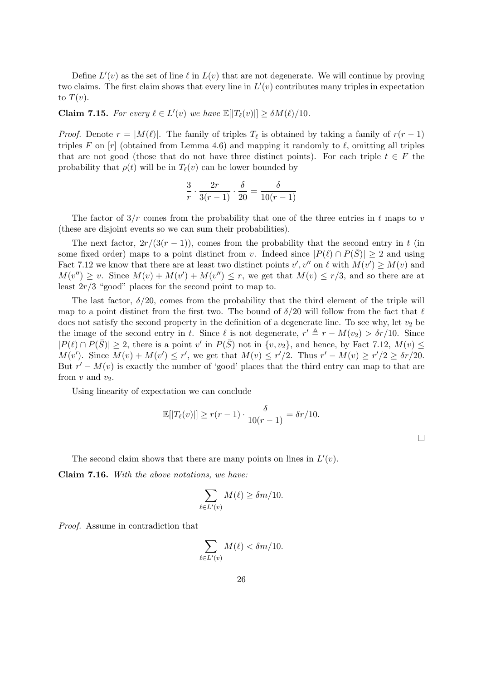Define  $L'(v)$  as the set of line  $\ell$  in  $L(v)$  that are not degenerate. We will continue by proving two claims. The first claim shows that every line in  $L'(v)$  contributes many triples in expectation to  $T(v)$ .

**Claim 7.15.** For every  $\ell \in L'(v)$  we have  $\mathbb{E}[|T_{\ell}(v)|] \geq \delta M(\ell)/10$ .

*Proof.* Denote  $r = |M(\ell)|$ . The family of triples  $T_{\ell}$  is obtained by taking a family of  $r(r-1)$ triples *F* on  $[r]$  (obtained from Lemma 4.6) and mapping it randomly to  $\ell$ , omitting all triples that are not good (those that do not have three distinct points). For each triple  $t \in F$  the probability that  $\rho(t)$  will be in  $T_{\ell}(v)$  can be lower bounded by

$$
\frac{3}{r} \cdot \frac{2r}{3(r-1)} \cdot \frac{\delta}{20} = \frac{\delta}{10(r-1)}
$$

The factor of  $3/r$  comes from the probability that one of the three entries in  $t$  maps to  $v$ (these are disjoint events so we can sum their probabilities).

The next factor,  $2r/(3(r-1))$ , comes from the probability that the second entry in *t* (in some fixed order) maps to a point distinct from *v*. Indeed since  $|P(\ell) \cap P(\bar{S})| \geq 2$  and using Fact 7.12 we know that there are at least two distinct points  $v', v''$  on  $\ell$  with  $M(v') \geq M(v)$  and  $M(v'') \geq v$ . Since  $M(v) + M(v') + M(v'') \leq r$ , we get that  $M(v) \leq r/3$ , and so there are at least 2*r/*3 "good" places for the second point to map to.

The last factor,  $\delta/20$ , comes from the probability that the third element of the triple will map to a point distinct from the first two. The bound of  $\delta/20$  will follow from the fact that  $\ell$ does not satisfy the second property in the definition of a degenerate line. To see why, let  $v_2$  be the image of the second entry in *t*. Since  $\ell$  is not degenerate,  $r' \triangleq r - M(v_2) > \delta r/10$ . Since  $|P(\ell) \cap P(\bar{S})| \geq 2$ , there is a point *v*' in  $P(\bar{S})$  not in  $\{v, v_2\}$ , and hence, by Fact 7.12,  $M(v) \leq$  $M(v')$ . Since  $M(v) + M(v') \leq r'$ , we get that  $M(v) \leq r'/2$ . Thus  $r' - M(v) \geq r'/2 \geq \delta r/20$ . But  $r' - M(v)$  is exactly the number of 'good' places that the third entry can map to that are from  $v$  and  $v_2$ .

Using linearity of expectation we can conclude

$$
\mathbb{E}[|T_{\ell}(v)|] \ge r(r-1) \cdot \frac{\delta}{10(r-1)} = \delta r/10.
$$

The second claim shows that there are many points on lines in *L ′* (*v*).

**Claim 7.16.** *With the above notations, we have:*

$$
\sum_{\ell \in L'(v)} M(\ell) \ge \delta m/10.
$$

*Proof.* Assume in contradiction that

$$
\sum_{\ell \in L'(v)} M(\ell) < \delta m/10.
$$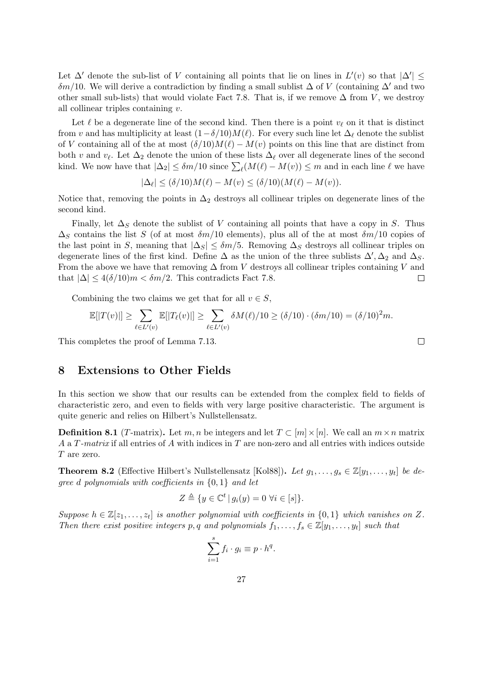Let  $\Delta'$  denote the sub-list of *V* containing all points that lie on lines in  $L'(v)$  so that  $|\Delta'| \le$ *δm/*10. We will derive a contradiction by finding a small sublist ∆ of *V* (containing ∆*′* and two other small sub-lists) that would violate Fact 7.8. That is, if we remove  $\Delta$  from *V*, we destroy all collinear triples containing *v*.

Let  $\ell$  be a degenerate line of the second kind. Then there is a point  $v_{\ell}$  on it that is distinct from *v* and has multiplicity at least  $(1 - \delta/10)M(\ell)$ . For every such line let  $\Delta_{\ell}$  denote the sublist of *V* containing all of the at most  $(\delta/10)M(\ell) - M(v)$  points on this line that are distinct from both *v* and  $v_{\ell}$ . Let  $\Delta_2$  denote the union of these lists  $\Delta_{\ell}$  over all degenerate lines of the second kind. We now have that  $|\Delta_2| \leq \delta m/10$  since  $\sum_{\ell} (M(\ell) - M(v)) \leq m$  and in each line  $\ell$  we have

$$
|\Delta_{\ell}| \le (\delta/10)M(\ell) - M(v) \le (\delta/10)(M(\ell) - M(v)).
$$

Notice that, removing the points in  $\Delta_2$  destroys all collinear triples on degenerate lines of the second kind.

Finally, let ∆*<sup>S</sup>* denote the sublist of *V* containing all points that have a copy in *S*. Thus  $\Delta_S$  contains the list *S* (of at most  $\delta m/10$  elements), plus all of the at most  $\delta m/10$  copies of the last point in *S*, meaning that  $|\Delta_S| \leq \delta m/5$ . Removing  $\Delta_S$  destroys all collinear triples on degenerate lines of the first kind. Define  $\Delta$  as the union of the three sublists  $\Delta'$ ,  $\Delta_2$  and  $\Delta_S$ . From the above we have that removing ∆ from *V* destroys all collinear triples containing *V* and that  $|\Delta| \leq 4(\delta/10)m < \delta m/2$ . This contradicts Fact 7.8.  $\Box$ 

Combining the two claims we get that for all  $v \in S$ ,

$$
\mathbb{E}[|T(v)|] \ge \sum_{\ell \in L'(v)} \mathbb{E}[|T_{\ell}(v)|] \ge \sum_{\ell \in L'(v)} \delta M(\ell)/10 \ge (\delta/10) \cdot (\delta m/10) = (\delta/10)^2 m.
$$

 $\Box$ 

This completes the proof of Lemma 7.13.

## **8 Extensions to Other Fields**

In this section we show that our results can be extended from the complex field to fields of characteristic zero, and even to fields with very large positive characteristic. The argument is quite generic and relies on Hilbert's Nullstellensatz.

**Definition 8.1** (*T*-matrix). Let *m, n* be integers and let  $T \subset [m] \times [n]$ . We call an  $m \times n$  matrix *A* a *T-matrix* if all entries of *A* with indices in *T* are non-zero and all entries with indices outside *T* are zero.

**Theorem 8.2** (Effective Hilbert's Nullstellensatz [Kol88]). Let  $g_1, \ldots, g_s \in \mathbb{Z}[y_1, \ldots, y_t]$  be de*gree d polynomials with coefficients in {*0*,* 1*} and let*

$$
Z \triangleq \{ y \in \mathbb{C}^t \, | \, g_i(y) = 0 \, \forall i \in [s] \}.
$$

*Suppose*  $h \in \mathbb{Z}[z_1, \ldots, z_t]$  *is another polynomial with coefficients in*  $\{0, 1\}$  *which vanishes on*  $Z$ *. Then there exist positive integers*  $p, q$  *and polynomials*  $f_1, \ldots, f_s \in \mathbb{Z}[y_1, \ldots, y_t]$  *such that* 

$$
\sum_{i=1}^{s} f_i \cdot g_i \equiv p \cdot h^q.
$$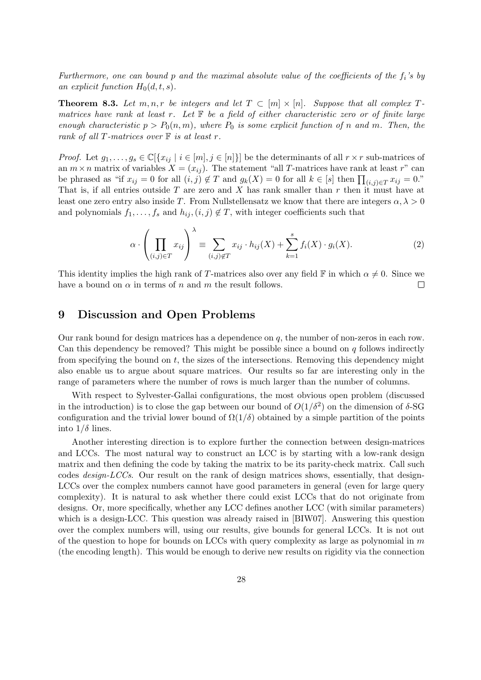*Furthermore, one can bound p and the maximal absolute value of the coefficients of the fi's by an explicit function*  $H_0(d, t, s)$ .

**Theorem 8.3.** Let  $m, n, r$  be integers and let  $T \subset [m] \times [n]$ . Suppose that all complex  $T$ *matrices have rank at least r. Let* F *be a field of either characteristic zero or of finite large enough characteristic*  $p > P_0(n, m)$ *, where*  $P_0$  *is some explicit function of n* and *m*. Then, the *rank of all T-matrices over*  $\mathbb F$  *is at least r.* 

*Proof.* Let  $g_1, \ldots, g_s \in \mathbb{C}[\{x_{ij} \mid i \in [m], j \in [n]\}]$  be the determinants of all  $r \times r$  sub-matrices of an  $m \times n$  matrix of variables  $X = (x_{ij})$ . The statement "all *T*-matrices have rank at least *r*" can be phrased as "if  $x_{ij} = 0$  for all  $(i, j) \notin T$  and  $g_k(X) = 0$  for all  $k \in [s]$  then  $\prod_{(i,j) \in T} x_{ij} = 0$ ." That is, if all entries outside *T* are zero and *X* has rank smaller than *r* then it must have at least one zero entry also inside *T*. From Nullstellensatz we know that there are integers  $\alpha, \lambda > 0$ and polynomials  $f_1, \ldots, f_s$  and  $h_{ij}, (i, j) \notin T$ , with integer coefficients such that

$$
\alpha \cdot \left(\prod_{(i,j)\in T} x_{ij}\right)^{\lambda} \equiv \sum_{(i,j)\notin T} x_{ij} \cdot h_{ij}(X) + \sum_{k=1}^{s} f_i(X) \cdot g_i(X). \tag{2}
$$

This identity implies the high rank of *T*-matrices also over any field F in which  $\alpha \neq 0$ . Since we have a bound on  $\alpha$  in terms of  $n$  and  $m$  the result follows.  $\Box$ 

# **9 Discussion and Open Problems**

Our rank bound for design matrices has a dependence on *q*, the number of non-zeros in each row. Can this dependency be removed? This might be possible since a bound on *q* follows indirectly from specifying the bound on *t*, the sizes of the intersections. Removing this dependency might also enable us to argue about square matrices. Our results so far are interesting only in the range of parameters where the number of rows is much larger than the number of columns.

With respect to Sylvester-Gallai configurations, the most obvious open problem (discussed in the introduction) is to close the gap between our bound of  $O(1/\delta^2)$  on the dimension of  $\delta$ -SG configuration and the trivial lower bound of  $\Omega(1/\delta)$  obtained by a simple partition of the points into  $1/\delta$  lines.

Another interesting direction is to explore further the connection between design-matrices and LCCs. The most natural way to construct an LCC is by starting with a low-rank design matrix and then defining the code by taking the matrix to be its parity-check matrix. Call such codes *design-LCCs*. Our result on the rank of design matrices shows, essentially, that design-LCCs over the complex numbers cannot have good parameters in general (even for large query complexity). It is natural to ask whether there could exist LCCs that do not originate from designs. Or, more specifically, whether any LCC defines another LCC (with similar parameters) which is a design-LCC. This question was already raised in [BIW07]. Answering this question over the complex numbers will, using our results, give bounds for general LCCs. It is not out of the question to hope for bounds on LCCs with query complexity as large as polynomial in *m* (the encoding length). This would be enough to derive new results on rigidity via the connection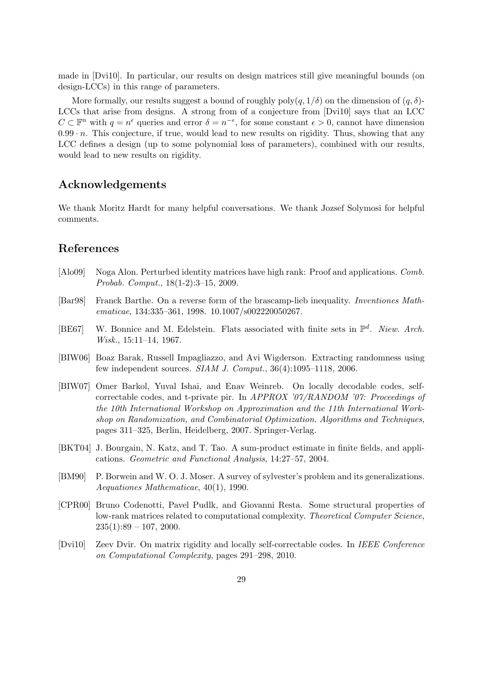made in [Dvi10]. In particular, our results on design matrices still give meaningful bounds (on design-LCCs) in this range of parameters.

More formally, our results suggest a bound of roughly  $poly(q, 1/\delta)$  on the dimension of  $(q, \delta)$ -LCCs that arise from designs. A strong from of a conjecture from [Dvi10] says that an LCC  $C \subset \mathbb{F}^n$  with  $q = n^{\epsilon}$  queries and error  $\delta = n^{-\epsilon}$ , for some constant  $\epsilon > 0$ , cannot have dimension  $0.99 \cdot n$ . This conjecture, if true, would lead to new results on rigidity. Thus, showing that any LCC defines a design (up to some polynomial loss of parameters), combined with our results, would lead to new results on rigidity.

# **Acknowledgements**

We thank Moritz Hardt for many helpful conversations. We thank Jozsef Solymosi for helpful comments.

## **References**

- [Alo09] Noga Alon. Perturbed identity matrices have high rank: Proof and applications. *Comb. Probab. Comput.*, 18(1-2):3–15, 2009.
- [Bar98] Franck Barthe. On a reverse form of the brascamp-lieb inequality. *Inventiones Mathematicae*, 134:335–361, 1998. 10.1007/s002220050267.
- [BE67] W. Bonnice and M. Edelstein. Flats associated with finite sets in P *d* . *Niew. Arch. Wisk.*, 15:11–14, 1967.
- [BIW06] Boaz Barak, Russell Impagliazzo, and Avi Wigderson. Extracting randomness using few independent sources. *SIAM J. Comput.*, 36(4):1095–1118, 2006.
- [BIW07] Omer Barkol, Yuval Ishai, and Enav Weinreb. On locally decodable codes, selfcorrectable codes, and t-private pir. In *APPROX '07/RANDOM '07: Proceedings of the 10th International Workshop on Approximation and the 11th International Workshop on Randomization, and Combinatorial Optimization. Algorithms and Techniques*, pages 311–325, Berlin, Heidelberg, 2007. Springer-Verlag.
- [BKT04] J. Bourgain, N. Katz, and T. Tao. A sum-product estimate in finite fields, and applications. *Geometric and Functional Analysis*, 14:27–57, 2004.
- [BM90] P. Borwein and W. O. J. Moser. A survey of sylvester's problem and its generalizations. *Aequationes Mathematicae*, 40(1), 1990.
- [CPR00] Bruno Codenotti, Pavel Pudlk, and Giovanni Resta. Some structural properties of low-rank matrices related to computational complexity. *Theoretical Computer Science*,  $235(1):89 - 107, 2000.$
- [Dvi10] Zeev Dvir. On matrix rigidity and locally self-correctable codes. In *IEEE Conference on Computational Complexity*, pages 291–298, 2010.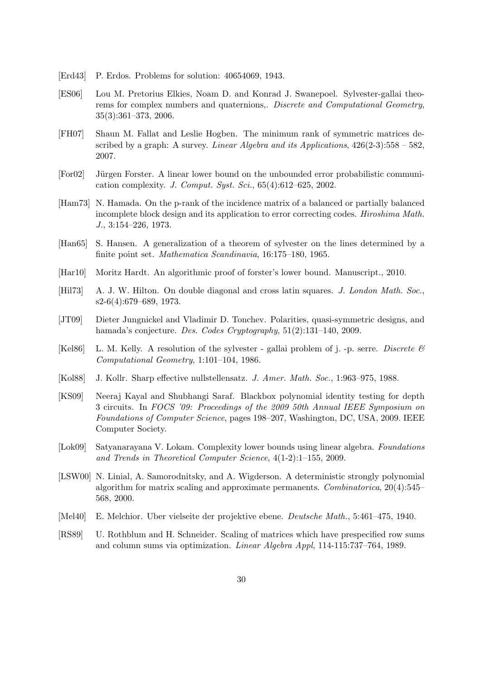- [Erd43] P. Erdos. Problems for solution: 40654069, 1943.
- [ES06] Lou M. Pretorius Elkies, Noam D. and Konrad J. Swanepoel. Sylvester-gallai theorems for complex numbers and quaternions,. *Discrete and Computational Geometry*, 35(3):361–373, 2006.
- [FH07] Shaun M. Fallat and Leslie Hogben. The minimum rank of symmetric matrices described by a graph: A survey. *Linear Algebra and its Applications*, 426(2-3):558 – 582, 2007.
- [For02] Jürgen Forster. A linear lower bound on the unbounded error probabilistic communication complexity. *J. Comput. Syst. Sci.*, 65(4):612–625, 2002.
- [Ham73] N. Hamada. On the p-rank of the incidence matrix of a balanced or partially balanced incomplete block design and its application to error correcting codes. *Hiroshima Math. J.*, 3:154–226, 1973.
- [Han65] S. Hansen. A generalization of a theorem of sylvester on the lines determined by a finite point set. *Mathematica Scandinavia*, 16:175–180, 1965.
- [Har10] Moritz Hardt. An algorithmic proof of forster's lower bound. Manuscript., 2010.
- [Hil73] A. J. W. Hilton. On double diagonal and cross latin squares. *J. London Math. Soc.*, s2-6(4):679–689, 1973.
- [JT09] Dieter Jungnickel and Vladimir D. Tonchev. Polarities, quasi-symmetric designs, and hamada's conjecture. *Des. Codes Cryptography*, 51(2):131–140, 2009.
- [Kel86] L. M. Kelly. A resolution of the sylvester gallai problem of j. -p. serre. *Discrete & Computational Geometry*, 1:101–104, 1986.
- [Kol88] J. Kollr. Sharp effective nullstellensatz. *J. Amer. Math. Soc.*, 1:963–975, 1988.
- [KS09] Neeraj Kayal and Shubhangi Saraf. Blackbox polynomial identity testing for depth 3 circuits. In *FOCS '09: Proceedings of the 2009 50th Annual IEEE Symposium on Foundations of Computer Science*, pages 198–207, Washington, DC, USA, 2009. IEEE Computer Society.
- [Lok09] Satyanarayana V. Lokam. Complexity lower bounds using linear algebra. *Foundations and Trends in Theoretical Computer Science*, 4(1-2):1–155, 2009.
- [LSW00] N. Linial, A. Samorodnitsky, and A. Wigderson. A deterministic strongly polynomial algorithm for matrix scaling and approximate permanents. *Combinatorica*, 20(4):545– 568, 2000.
- [Mel40] E. Melchior. Uber vielseite der projektive ebene. *Deutsche Math.*, 5:461–475, 1940.
- [RS89] U. Rothblum and H. Schneider. Scaling of matrices which have prespecified row sums and column sums via optimization. *Linear Algebra Appl*, 114-115:737–764, 1989.